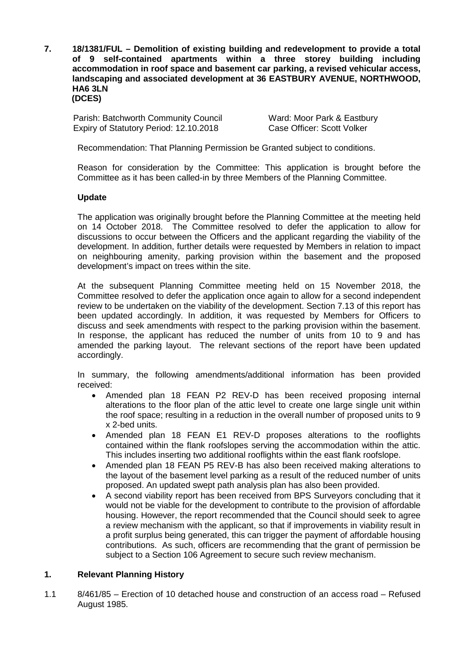**7. 18/1381/FUL – Demolition of existing building and redevelopment to provide a total of 9 self-contained apartments within a three storey building including accommodation in roof space and basement car parking, a revised vehicular access, landscaping and associated development at 36 EASTBURY AVENUE, NORTHWOOD, HA6 3LN (DCES)**

Parish: Batchworth Community Council Ward: Moor Park & Eastbury Expiry of Statutory Period: 12.10.2018 Case Officer: Scott Volker

Recommendation: That Planning Permission be Granted subject to conditions.

Reason for consideration by the Committee: This application is brought before the Committee as it has been called-in by three Members of the Planning Committee.

### **Update**

The application was originally brought before the Planning Committee at the meeting held on 14 October 2018. The Committee resolved to defer the application to allow for discussions to occur between the Officers and the applicant regarding the viability of the development. In addition, further details were requested by Members in relation to impact on neighbouring amenity, parking provision within the basement and the proposed development's impact on trees within the site.

At the subsequent Planning Committee meeting held on 15 November 2018, the Committee resolved to defer the application once again to allow for a second independent review to be undertaken on the viability of the development. Section 7.13 of this report has been updated accordingly. In addition, it was requested by Members for Officers to discuss and seek amendments with respect to the parking provision within the basement. In response, the applicant has reduced the number of units from 10 to 9 and has amended the parking layout. The relevant sections of the report have been updated accordingly.

In summary, the following amendments/additional information has been provided received:

- Amended plan 18 FEAN P2 REV-D has been received proposing internal alterations to the floor plan of the attic level to create one large single unit within the roof space; resulting in a reduction in the overall number of proposed units to 9 x 2-bed units.
- Amended plan 18 FEAN E1 REV-D proposes alterations to the rooflights contained within the flank roofslopes serving the accommodation within the attic. This includes inserting two additional rooflights within the east flank roofslope.
- Amended plan 18 FEAN P5 REV-B has also been received making alterations to the layout of the basement level parking as a result of the reduced number of units proposed. An updated swept path analysis plan has also been provided.
- A second viability report has been received from BPS Surveyors concluding that it would not be viable for the development to contribute to the provision of affordable housing. However, the report recommended that the Council should seek to agree a review mechanism with the applicant, so that if improvements in viability result in a profit surplus being generated, this can trigger the payment of affordable housing contributions. As such, officers are recommending that the grant of permission be subject to a Section 106 Agreement to secure such review mechanism.

### **1. Relevant Planning History**

1.1 8/461/85 – Erection of 10 detached house and construction of an access road – Refused August 1985.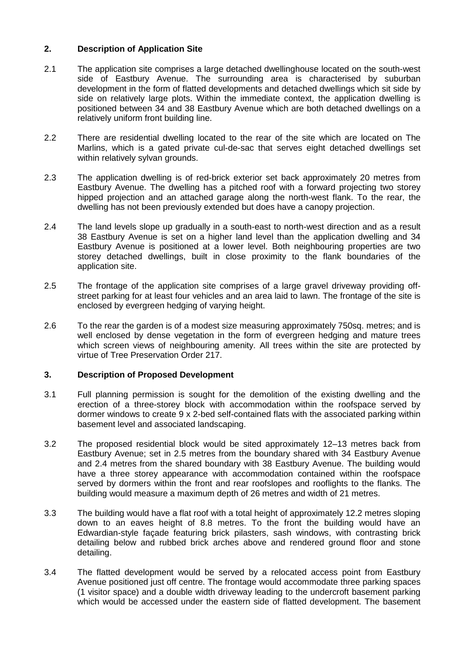# **2. Description of Application Site**

- 2.1 The application site comprises a large detached dwellinghouse located on the south-west side of Eastbury Avenue. The surrounding area is characterised by suburban development in the form of flatted developments and detached dwellings which sit side by side on relatively large plots. Within the immediate context, the application dwelling is positioned between 34 and 38 Eastbury Avenue which are both detached dwellings on a relatively uniform front building line.
- 2.2 There are residential dwelling located to the rear of the site which are located on The Marlins, which is a gated private cul-de-sac that serves eight detached dwellings set within relatively sylvan grounds.
- 2.3 The application dwelling is of red-brick exterior set back approximately 20 metres from Eastbury Avenue. The dwelling has a pitched roof with a forward projecting two storey hipped projection and an attached garage along the north-west flank. To the rear, the dwelling has not been previously extended but does have a canopy projection.
- 2.4 The land levels slope up gradually in a south-east to north-west direction and as a result 38 Eastbury Avenue is set on a higher land level than the application dwelling and 34 Eastbury Avenue is positioned at a lower level. Both neighbouring properties are two storey detached dwellings, built in close proximity to the flank boundaries of the application site.
- 2.5 The frontage of the application site comprises of a large gravel driveway providing offstreet parking for at least four vehicles and an area laid to lawn. The frontage of the site is enclosed by evergreen hedging of varying height.
- 2.6 To the rear the garden is of a modest size measuring approximately 750sq. metres; and is well enclosed by dense vegetation in the form of evergreen hedging and mature trees which screen views of neighbouring amenity. All trees within the site are protected by virtue of Tree Preservation Order 217.

# **3. Description of Proposed Development**

- 3.1 Full planning permission is sought for the demolition of the existing dwelling and the erection of a three-storey block with accommodation within the roofspace served by dormer windows to create 9 x 2-bed self-contained flats with the associated parking within basement level and associated landscaping.
- 3.2 The proposed residential block would be sited approximately 12–13 metres back from Eastbury Avenue; set in 2.5 metres from the boundary shared with 34 Eastbury Avenue and 2.4 metres from the shared boundary with 38 Eastbury Avenue. The building would have a three storey appearance with accommodation contained within the roofspace served by dormers within the front and rear roofslopes and rooflights to the flanks. The building would measure a maximum depth of 26 metres and width of 21 metres.
- 3.3 The building would have a flat roof with a total height of approximately 12.2 metres sloping down to an eaves height of 8.8 metres. To the front the building would have an Edwardian-style façade featuring brick pilasters, sash windows, with contrasting brick detailing below and rubbed brick arches above and rendered ground floor and stone detailing.
- 3.4 The flatted development would be served by a relocated access point from Eastbury Avenue positioned just off centre. The frontage would accommodate three parking spaces (1 visitor space) and a double width driveway leading to the undercroft basement parking which would be accessed under the eastern side of flatted development. The basement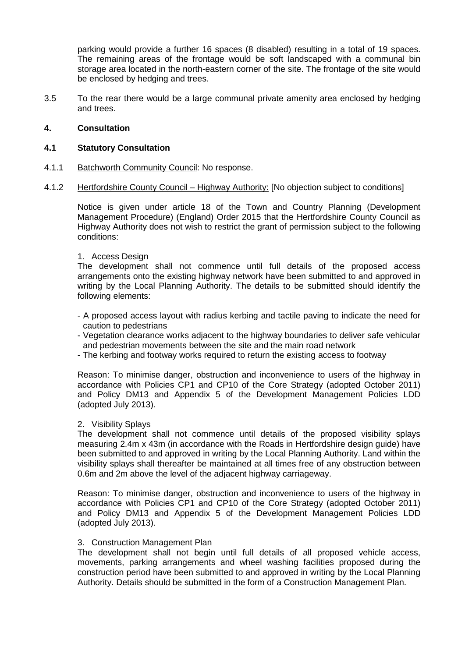parking would provide a further 16 spaces (8 disabled) resulting in a total of 19 spaces. The remaining areas of the frontage would be soft landscaped with a communal bin storage area located in the north-eastern corner of the site. The frontage of the site would be enclosed by hedging and trees.

3.5 To the rear there would be a large communal private amenity area enclosed by hedging and trees.

### **4. Consultation**

### **4.1 Statutory Consultation**

- 4.1.1 Batchworth Community Council: No response.
- 4.1.2 Hertfordshire County Council Highway Authority: [No objection subject to conditions]

Notice is given under article 18 of the Town and Country Planning (Development Management Procedure) (England) Order 2015 that the Hertfordshire County Council as Highway Authority does not wish to restrict the grant of permission subject to the following conditions:

### 1. Access Design

The development shall not commence until full details of the proposed access arrangements onto the existing highway network have been submitted to and approved in writing by the Local Planning Authority. The details to be submitted should identify the following elements:

- A proposed access layout with radius kerbing and tactile paving to indicate the need for caution to pedestrians
- Vegetation clearance works adjacent to the highway boundaries to deliver safe vehicular and pedestrian movements between the site and the main road network
- The kerbing and footway works required to return the existing access to footway

Reason: To minimise danger, obstruction and inconvenience to users of the highway in accordance with Policies CP1 and CP10 of the Core Strategy (adopted October 2011) and Policy DM13 and Appendix 5 of the Development Management Policies LDD (adopted July 2013).

### 2. Visibility Splays

The development shall not commence until details of the proposed visibility splays measuring 2.4m x 43m (in accordance with the Roads in Hertfordshire design guide) have been submitted to and approved in writing by the Local Planning Authority. Land within the visibility splays shall thereafter be maintained at all times free of any obstruction between 0.6m and 2m above the level of the adjacent highway carriageway.

Reason: To minimise danger, obstruction and inconvenience to users of the highway in accordance with Policies CP1 and CP10 of the Core Strategy (adopted October 2011) and Policy DM13 and Appendix 5 of the Development Management Policies LDD (adopted July 2013).

### 3. Construction Management Plan

The development shall not begin until full details of all proposed vehicle access, movements, parking arrangements and wheel washing facilities proposed during the construction period have been submitted to and approved in writing by the Local Planning Authority. Details should be submitted in the form of a Construction Management Plan.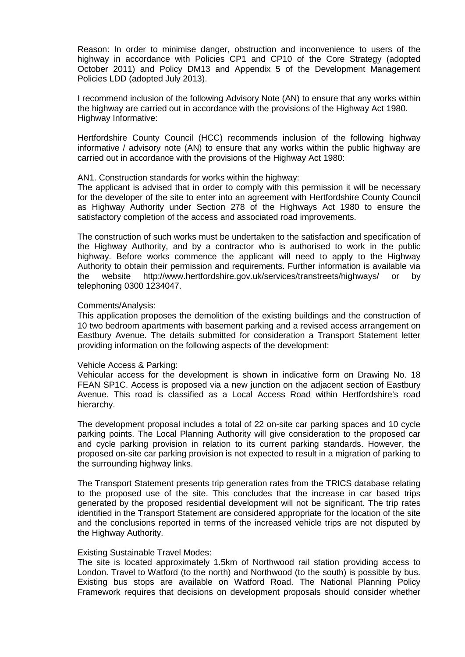Reason: In order to minimise danger, obstruction and inconvenience to users of the highway in accordance with Policies CP1 and CP10 of the Core Strategy (adopted October 2011) and Policy DM13 and Appendix 5 of the Development Management Policies LDD (adopted July 2013).

I recommend inclusion of the following Advisory Note (AN) to ensure that any works within the highway are carried out in accordance with the provisions of the Highway Act 1980. Highway Informative:

Hertfordshire County Council (HCC) recommends inclusion of the following highway informative / advisory note (AN) to ensure that any works within the public highway are carried out in accordance with the provisions of the Highway Act 1980:

#### AN1. Construction standards for works within the highway:

The applicant is advised that in order to comply with this permission it will be necessary for the developer of the site to enter into an agreement with Hertfordshire County Council as Highway Authority under Section 278 of the Highways Act 1980 to ensure the satisfactory completion of the access and associated road improvements.

The construction of such works must be undertaken to the satisfaction and specification of the Highway Authority, and by a contractor who is authorised to work in the public highway. Before works commence the applicant will need to apply to the Highway Authority to obtain their permission and requirements. Further information is available via the website http://www.hertfordshire.gov.uk/services/transtreets/highways/ or by telephoning 0300 1234047.

#### Comments/Analysis:

This application proposes the demolition of the existing buildings and the construction of 10 two bedroom apartments with basement parking and a revised access arrangement on Eastbury Avenue. The details submitted for consideration a Transport Statement letter providing information on the following aspects of the development:

### Vehicle Access & Parking:

Vehicular access for the development is shown in indicative form on Drawing No. 18 FEAN SP1C. Access is proposed via a new junction on the adjacent section of Eastbury Avenue. This road is classified as a Local Access Road within Hertfordshire's road hierarchy.

The development proposal includes a total of 22 on-site car parking spaces and 10 cycle parking points. The Local Planning Authority will give consideration to the proposed car and cycle parking provision in relation to its current parking standards. However, the proposed on-site car parking provision is not expected to result in a migration of parking to the surrounding highway links.

The Transport Statement presents trip generation rates from the TRICS database relating to the proposed use of the site. This concludes that the increase in car based trips generated by the proposed residential development will not be significant. The trip rates identified in the Transport Statement are considered appropriate for the location of the site and the conclusions reported in terms of the increased vehicle trips are not disputed by the Highway Authority.

### Existing Sustainable Travel Modes:

The site is located approximately 1.5km of Northwood rail station providing access to London. Travel to Watford (to the north) and Northwood (to the south) is possible by bus. Existing bus stops are available on Watford Road. The National Planning Policy Framework requires that decisions on development proposals should consider whether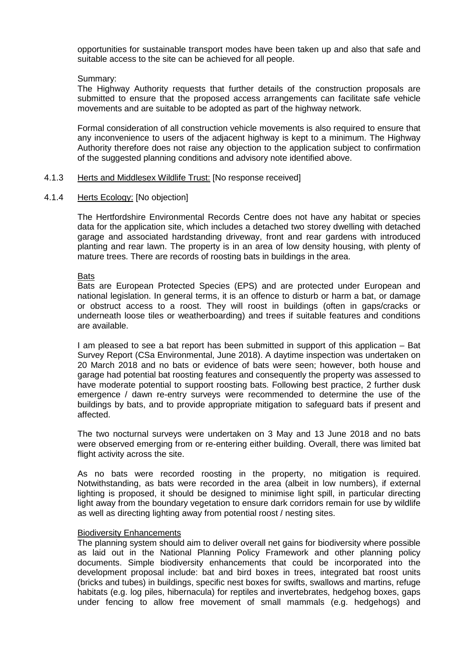opportunities for sustainable transport modes have been taken up and also that safe and suitable access to the site can be achieved for all people.

### Summary:

The Highway Authority requests that further details of the construction proposals are submitted to ensure that the proposed access arrangements can facilitate safe vehicle movements and are suitable to be adopted as part of the highway network.

Formal consideration of all construction vehicle movements is also required to ensure that any inconvenience to users of the adjacent highway is kept to a minimum. The Highway Authority therefore does not raise any objection to the application subject to confirmation of the suggested planning conditions and advisory note identified above.

### 4.1.3 Herts and Middlesex Wildlife Trust: [No response received]

### 4.1.4 Herts Ecology: [No objection]

The Hertfordshire Environmental Records Centre does not have any habitat or species data for the application site, which includes a detached two storey dwelling with detached garage and associated hardstanding driveway, front and rear gardens with introduced planting and rear lawn. The property is in an area of low density housing, with plenty of mature trees. There are records of roosting bats in buildings in the area.

#### **Bats**

Bats are European Protected Species (EPS) and are protected under European and national legislation. In general terms, it is an offence to disturb or harm a bat, or damage or obstruct access to a roost. They will roost in buildings (often in gaps/cracks or underneath loose tiles or weatherboarding) and trees if suitable features and conditions are available.

I am pleased to see a bat report has been submitted in support of this application – Bat Survey Report (CSa Environmental, June 2018). A daytime inspection was undertaken on 20 March 2018 and no bats or evidence of bats were seen; however, both house and garage had potential bat roosting features and consequently the property was assessed to have moderate potential to support roosting bats. Following best practice, 2 further dusk emergence / dawn re-entry surveys were recommended to determine the use of the buildings by bats, and to provide appropriate mitigation to safeguard bats if present and affected.

The two nocturnal surveys were undertaken on 3 May and 13 June 2018 and no bats were observed emerging from or re-entering either building. Overall, there was limited bat flight activity across the site.

As no bats were recorded roosting in the property, no mitigation is required. Notwithstanding, as bats were recorded in the area (albeit in low numbers), if external lighting is proposed, it should be designed to minimise light spill, in particular directing light away from the boundary vegetation to ensure dark corridors remain for use by wildlife as well as directing lighting away from potential roost / nesting sites.

#### Biodiversity Enhancements

The planning system should aim to deliver overall net gains for biodiversity where possible as laid out in the National Planning Policy Framework and other planning policy documents. Simple biodiversity enhancements that could be incorporated into the development proposal include: bat and bird boxes in trees, integrated bat roost units (bricks and tubes) in buildings, specific nest boxes for swifts, swallows and martins, refuge habitats (e.g. log piles, hibernacula) for reptiles and invertebrates, hedgehog boxes, gaps under fencing to allow free movement of small mammals (e.g. hedgehogs) and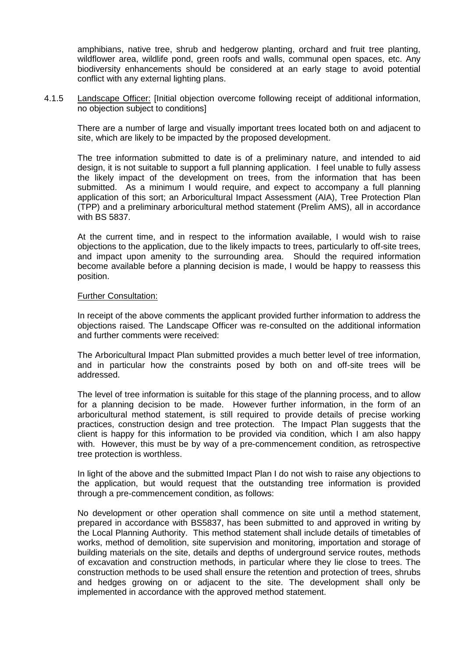amphibians, native tree, shrub and hedgerow planting, orchard and fruit tree planting, wildflower area, wildlife pond, green roofs and walls, communal open spaces, etc. Any biodiversity enhancements should be considered at an early stage to avoid potential conflict with any external lighting plans.

4.1.5 Landscape Officer: [Initial objection overcome following receipt of additional information, no objection subject to conditions]

There are a number of large and visually important trees located both on and adjacent to site, which are likely to be impacted by the proposed development.

The tree information submitted to date is of a preliminary nature, and intended to aid design, it is not suitable to support a full planning application. I feel unable to fully assess the likely impact of the development on trees, from the information that has been submitted. As a minimum I would require, and expect to accompany a full planning application of this sort; an Arboricultural Impact Assessment (AIA), Tree Protection Plan (TPP) and a preliminary arboricultural method statement (Prelim AMS), all in accordance with BS 5837.

At the current time, and in respect to the information available, I would wish to raise objections to the application, due to the likely impacts to trees, particularly to off-site trees, and impact upon amenity to the surrounding area. Should the required information become available before a planning decision is made, I would be happy to reassess this position.

#### Further Consultation:

In receipt of the above comments the applicant provided further information to address the objections raised. The Landscape Officer was re-consulted on the additional information and further comments were received:

The Arboricultural Impact Plan submitted provides a much better level of tree information, and in particular how the constraints posed by both on and off-site trees will be addressed.

The level of tree information is suitable for this stage of the planning process, and to allow for a planning decision to be made. However further information, in the form of an arboricultural method statement, is still required to provide details of precise working practices, construction design and tree protection. The Impact Plan suggests that the client is happy for this information to be provided via condition, which I am also happy with. However, this must be by way of a pre-commencement condition, as retrospective tree protection is worthless.

In light of the above and the submitted Impact Plan I do not wish to raise any objections to the application, but would request that the outstanding tree information is provided through a pre-commencement condition, as follows:

No development or other operation shall commence on site until a method statement, prepared in accordance with BS5837, has been submitted to and approved in writing by the Local Planning Authority. This method statement shall include details of timetables of works, method of demolition, site supervision and monitoring, importation and storage of building materials on the site, details and depths of underground service routes, methods of excavation and construction methods, in particular where they lie close to trees. The construction methods to be used shall ensure the retention and protection of trees, shrubs and hedges growing on or adjacent to the site. The development shall only be implemented in accordance with the approved method statement.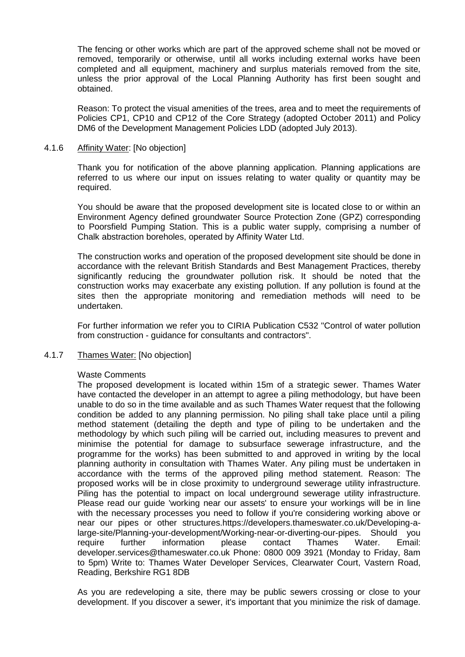The fencing or other works which are part of the approved scheme shall not be moved or removed, temporarily or otherwise, until all works including external works have been completed and all equipment, machinery and surplus materials removed from the site, unless the prior approval of the Local Planning Authority has first been sought and obtained.

Reason: To protect the visual amenities of the trees, area and to meet the requirements of Policies CP1, CP10 and CP12 of the Core Strategy (adopted October 2011) and Policy DM6 of the Development Management Policies LDD (adopted July 2013).

### 4.1.6 Affinity Water: [No objection]

Thank you for notification of the above planning application. Planning applications are referred to us where our input on issues relating to water quality or quantity may be required.

You should be aware that the proposed development site is located close to or within an Environment Agency defined groundwater Source Protection Zone (GPZ) corresponding to Poorsfield Pumping Station. This is a public water supply, comprising a number of Chalk abstraction boreholes, operated by Affinity Water Ltd.

The construction works and operation of the proposed development site should be done in accordance with the relevant British Standards and Best Management Practices, thereby significantly reducing the groundwater pollution risk. It should be noted that the construction works may exacerbate any existing pollution. If any pollution is found at the sites then the appropriate monitoring and remediation methods will need to be undertaken.

For further information we refer you to CIRIA Publication C532 "Control of water pollution from construction - guidance for consultants and contractors".

# 4.1.7 Thames Water: [No objection]

### Waste Comments

The proposed development is located within 15m of a strategic sewer. Thames Water have contacted the developer in an attempt to agree a piling methodology, but have been unable to do so in the time available and as such Thames Water request that the following condition be added to any planning permission. No piling shall take place until a piling method statement (detailing the depth and type of piling to be undertaken and the methodology by which such piling will be carried out, including measures to prevent and minimise the potential for damage to subsurface sewerage infrastructure, and the programme for the works) has been submitted to and approved in writing by the local planning authority in consultation with Thames Water. Any piling must be undertaken in accordance with the terms of the approved piling method statement. Reason: The proposed works will be in close proximity to underground sewerage utility infrastructure. Piling has the potential to impact on local underground sewerage utility infrastructure. Please read our guide 'working near our assets' to ensure your workings will be in line with the necessary processes you need to follow if you're considering working above or near our pipes or other structures.https://developers.thameswater.co.uk/Developing-alarge-site/Planning-your-development/Working-near-or-diverting-our-pipes. Should you require further information please contact Thames Water. Email: developer.services@thameswater.co.uk Phone: 0800 009 3921 (Monday to Friday, 8am to 5pm) Write to: Thames Water Developer Services, Clearwater Court, Vastern Road, Reading, Berkshire RG1 8DB

As you are redeveloping a site, there may be public sewers crossing or close to your development. If you discover a sewer, it's important that you minimize the risk of damage.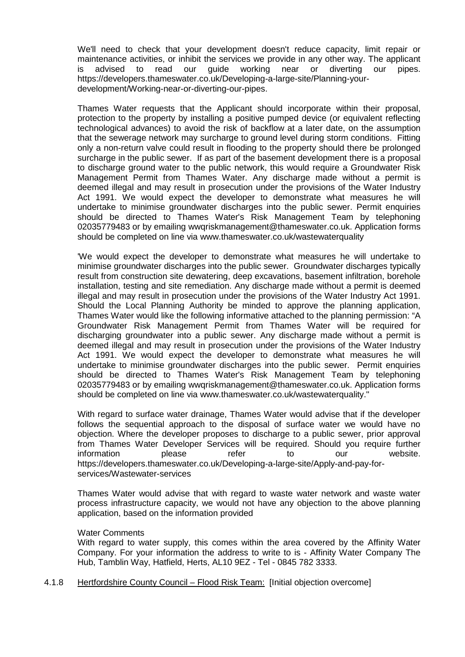We'll need to check that your development doesn't reduce capacity, limit repair or maintenance activities, or inhibit the services we provide in any other way. The applicant<br>is advised to read our quide working near or diverting our pipes. is advised to read our guide working near or diverting our pipes. https://developers.thameswater.co.uk/Developing-a-large-site/Planning-yourdevelopment/Working-near-or-diverting-our-pipes.

Thames Water requests that the Applicant should incorporate within their proposal, protection to the property by installing a positive pumped device (or equivalent reflecting technological advances) to avoid the risk of backflow at a later date, on the assumption that the sewerage network may surcharge to ground level during storm conditions. Fitting only a non-return valve could result in flooding to the property should there be prolonged surcharge in the public sewer. If as part of the basement development there is a proposal to discharge ground water to the public network, this would require a Groundwater Risk Management Permit from Thames Water. Any discharge made without a permit is deemed illegal and may result in prosecution under the provisions of the Water Industry Act 1991. We would expect the developer to demonstrate what measures he will undertake to minimise groundwater discharges into the public sewer. Permit enquiries should be directed to Thames Water's Risk Management Team by telephoning 02035779483 or by emailing wwqriskmanagement@thameswater.co.uk. Application forms should be completed on line via www.thameswater.co.uk/wastewaterquality

'We would expect the developer to demonstrate what measures he will undertake to minimise groundwater discharges into the public sewer. Groundwater discharges typically result from construction site dewatering, deep excavations, basement infiltration, borehole installation, testing and site remediation. Any discharge made without a permit is deemed illegal and may result in prosecution under the provisions of the Water Industry Act 1991. Should the Local Planning Authority be minded to approve the planning application, Thames Water would like the following informative attached to the planning permission: "A Groundwater Risk Management Permit from Thames Water will be required for discharging groundwater into a public sewer. Any discharge made without a permit is deemed illegal and may result in prosecution under the provisions of the Water Industry Act 1991. We would expect the developer to demonstrate what measures he will undertake to minimise groundwater discharges into the public sewer. Permit enquiries should be directed to Thames Water's Risk Management Team by telephoning 02035779483 or by emailing wwqriskmanagement@thameswater.co.uk. Application forms should be completed on line via www.thameswater.co.uk/wastewaterquality."

With regard to surface water drainage, Thames Water would advise that if the developer follows the sequential approach to the disposal of surface water we would have no objection. Where the developer proposes to discharge to a public sewer, prior approval from Thames Water Developer Services will be required. Should you require further information please refer to our website. https://developers.thameswater.co.uk/Developing-a-large-site/Apply-and-pay-forservices/Wastewater-services

Thames Water would advise that with regard to waste water network and waste water process infrastructure capacity, we would not have any objection to the above planning application, based on the information provided

### Water Comments

With regard to water supply, this comes within the area covered by the Affinity Water Company. For your information the address to write to is - Affinity Water Company The Hub, Tamblin Way, Hatfield, Herts, AL10 9EZ - Tel - 0845 782 3333.

4.1.8 Hertfordshire County Council – Flood Risk Team: [Initial objection overcome]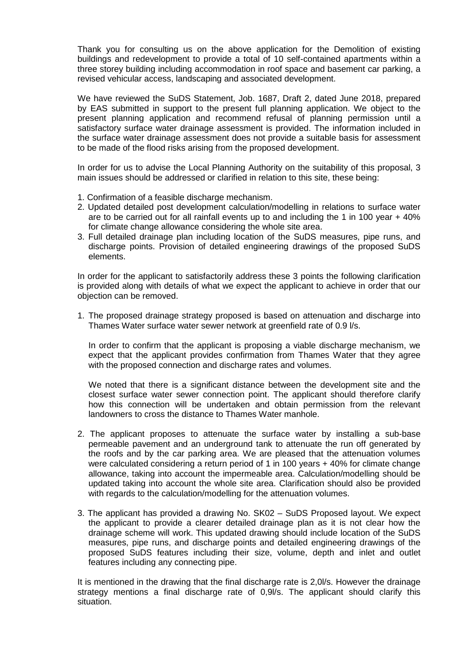Thank you for consulting us on the above application for the Demolition of existing buildings and redevelopment to provide a total of 10 self-contained apartments within a three storey building including accommodation in roof space and basement car parking, a revised vehicular access, landscaping and associated development.

We have reviewed the SuDS Statement, Job. 1687, Draft 2, dated June 2018, prepared by EAS submitted in support to the present full planning application. We object to the present planning application and recommend refusal of planning permission until a satisfactory surface water drainage assessment is provided. The information included in the surface water drainage assessment does not provide a suitable basis for assessment to be made of the flood risks arising from the proposed development.

In order for us to advise the Local Planning Authority on the suitability of this proposal, 3 main issues should be addressed or clarified in relation to this site, these being:

- 1. Confirmation of a feasible discharge mechanism.
- 2. Updated detailed post development calculation/modelling in relations to surface water are to be carried out for all rainfall events up to and including the 1 in 100 year + 40% for climate change allowance considering the whole site area.
- 3. Full detailed drainage plan including location of the SuDS measures, pipe runs, and discharge points. Provision of detailed engineering drawings of the proposed SuDS elements.

In order for the applicant to satisfactorily address these 3 points the following clarification is provided along with details of what we expect the applicant to achieve in order that our objection can be removed.

1. The proposed drainage strategy proposed is based on attenuation and discharge into Thames Water surface water sewer network at greenfield rate of 0.9 l/s.

In order to confirm that the applicant is proposing a viable discharge mechanism, we expect that the applicant provides confirmation from Thames Water that they agree with the proposed connection and discharge rates and volumes.

We noted that there is a significant distance between the development site and the closest surface water sewer connection point. The applicant should therefore clarify how this connection will be undertaken and obtain permission from the relevant landowners to cross the distance to Thames Water manhole.

- 2. The applicant proposes to attenuate the surface water by installing a sub-base permeable pavement and an underground tank to attenuate the run off generated by the roofs and by the car parking area. We are pleased that the attenuation volumes were calculated considering a return period of 1 in 100 years + 40% for climate change allowance, taking into account the impermeable area. Calculation/modelling should be updated taking into account the whole site area. Clarification should also be provided with regards to the calculation/modelling for the attenuation volumes.
- 3. The applicant has provided a drawing No. SK02 SuDS Proposed layout. We expect the applicant to provide a clearer detailed drainage plan as it is not clear how the drainage scheme will work. This updated drawing should include location of the SuDS measures, pipe runs, and discharge points and detailed engineering drawings of the proposed SuDS features including their size, volume, depth and inlet and outlet features including any connecting pipe.

It is mentioned in the drawing that the final discharge rate is 2,0l/s. However the drainage strategy mentions a final discharge rate of 0,9l/s. The applicant should clarify this situation.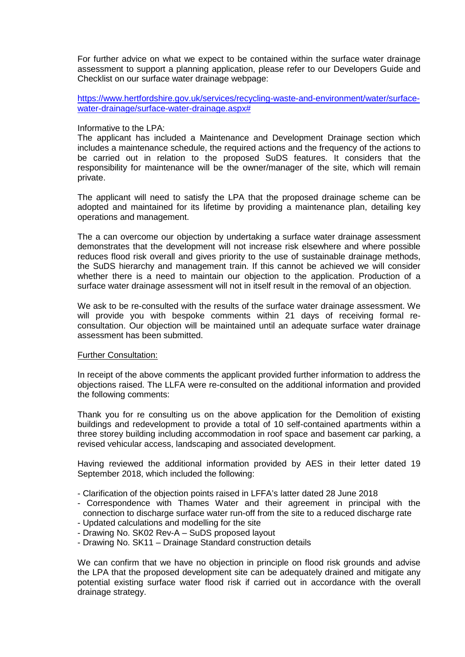For further advice on what we expect to be contained within the surface water drainage assessment to support a planning application, please refer to our Developers Guide and Checklist on our surface water drainage webpage:

[https://www.hertfordshire.gov.uk/services/recycling-waste-and-environment/water/surface](https://www.hertfordshire.gov.uk/services/recycling-waste-and-environment/water/surface-water-drainage/surface-water-drainage.aspx)[water-drainage/surface-water-drainage.aspx#](https://www.hertfordshire.gov.uk/services/recycling-waste-and-environment/water/surface-water-drainage/surface-water-drainage.aspx)

### Informative to the LPA:

The applicant has included a Maintenance and Development Drainage section which includes a maintenance schedule, the required actions and the frequency of the actions to be carried out in relation to the proposed SuDS features. It considers that the responsibility for maintenance will be the owner/manager of the site, which will remain private.

The applicant will need to satisfy the LPA that the proposed drainage scheme can be adopted and maintained for its lifetime by providing a maintenance plan, detailing key operations and management.

The a can overcome our objection by undertaking a surface water drainage assessment demonstrates that the development will not increase risk elsewhere and where possible reduces flood risk overall and gives priority to the use of sustainable drainage methods, the SuDS hierarchy and management train. If this cannot be achieved we will consider whether there is a need to maintain our objection to the application. Production of a surface water drainage assessment will not in itself result in the removal of an objection.

We ask to be re-consulted with the results of the surface water drainage assessment. We will provide you with bespoke comments within 21 days of receiving formal reconsultation. Our objection will be maintained until an adequate surface water drainage assessment has been submitted.

### Further Consultation:

In receipt of the above comments the applicant provided further information to address the objections raised. The LLFA were re-consulted on the additional information and provided the following comments:

Thank you for re consulting us on the above application for the Demolition of existing buildings and redevelopment to provide a total of 10 self-contained apartments within a three storey building including accommodation in roof space and basement car parking, a revised vehicular access, landscaping and associated development.

Having reviewed the additional information provided by AES in their letter dated 19 September 2018, which included the following:

- Clarification of the objection points raised in LFFA's latter dated 28 June 2018
- Correspondence with Thames Water and their agreement in principal with the connection to discharge surface water run-off from the site to a reduced discharge rate
- Updated calculations and modelling for the site
- Drawing No. SK02 Rev-A SuDS proposed layout
- Drawing No. SK11 Drainage Standard construction details

We can confirm that we have no objection in principle on flood risk grounds and advise the LPA that the proposed development site can be adequately drained and mitigate any potential existing surface water flood risk if carried out in accordance with the overall drainage strategy.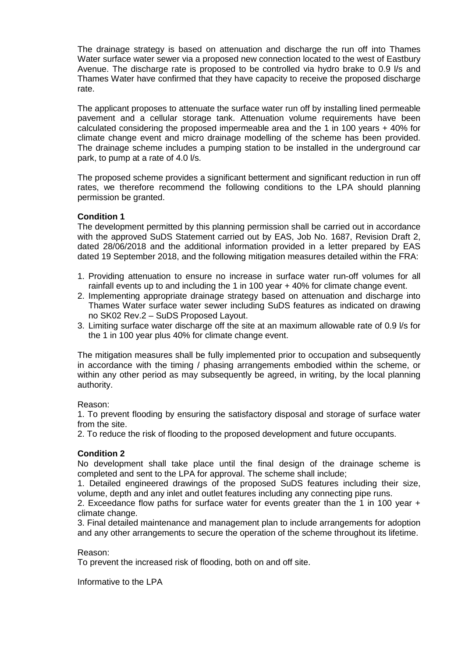The drainage strategy is based on attenuation and discharge the run off into Thames Water surface water sewer via a proposed new connection located to the west of Eastbury Avenue. The discharge rate is proposed to be controlled via hydro brake to 0.9 l/s and Thames Water have confirmed that they have capacity to receive the proposed discharge rate.

The applicant proposes to attenuate the surface water run off by installing lined permeable pavement and a cellular storage tank. Attenuation volume requirements have been calculated considering the proposed impermeable area and the 1 in 100 years + 40% for climate change event and micro drainage modelling of the scheme has been provided. The drainage scheme includes a pumping station to be installed in the underground car park, to pump at a rate of 4.0 l/s.

The proposed scheme provides a significant betterment and significant reduction in run off rates, we therefore recommend the following conditions to the LPA should planning permission be granted.

# **Condition 1**

The development permitted by this planning permission shall be carried out in accordance with the approved SuDS Statement carried out by EAS, Job No. 1687, Revision Draft 2, dated 28/06/2018 and the additional information provided in a letter prepared by EAS dated 19 September 2018, and the following mitigation measures detailed within the FRA:

- 1. Providing attenuation to ensure no increase in surface water run-off volumes for all rainfall events up to and including the 1 in 100 year + 40% for climate change event.
- 2. Implementing appropriate drainage strategy based on attenuation and discharge into Thames Water surface water sewer including SuDS features as indicated on drawing no SK02 Rev.2 – SuDS Proposed Layout.
- 3. Limiting surface water discharge off the site at an maximum allowable rate of 0.9 l/s for the 1 in 100 year plus 40% for climate change event.

The mitigation measures shall be fully implemented prior to occupation and subsequently in accordance with the timing / phasing arrangements embodied within the scheme, or within any other period as may subsequently be agreed, in writing, by the local planning authority.

# Reason:

1. To prevent flooding by ensuring the satisfactory disposal and storage of surface water from the site.

2. To reduce the risk of flooding to the proposed development and future occupants.

# **Condition 2**

No development shall take place until the final design of the drainage scheme is completed and sent to the LPA for approval. The scheme shall include;

1. Detailed engineered drawings of the proposed SuDS features including their size, volume, depth and any inlet and outlet features including any connecting pipe runs.

2. Exceedance flow paths for surface water for events greater than the 1 in 100 year + climate change.

3. Final detailed maintenance and management plan to include arrangements for adoption and any other arrangements to secure the operation of the scheme throughout its lifetime.

### Reason:

To prevent the increased risk of flooding, both on and off site.

Informative to the LPA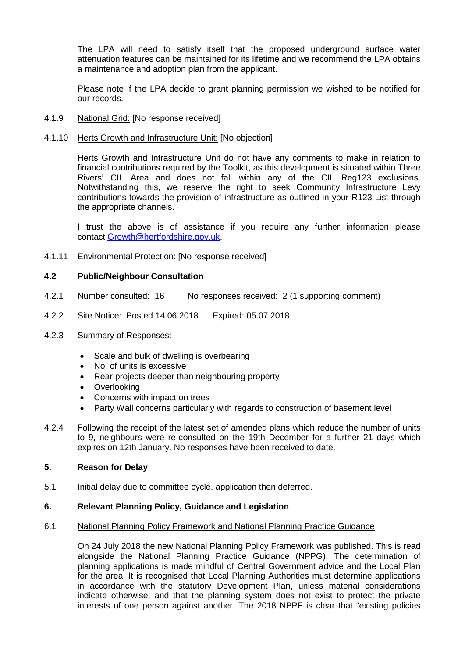The LPA will need to satisfy itself that the proposed underground surface water attenuation features can be maintained for its lifetime and we recommend the LPA obtains a maintenance and adoption plan from the applicant.

Please note if the LPA decide to grant planning permission we wished to be notified for our records.

# 4.1.9 National Grid: [No response received]

### 4.1.10 Herts Growth and Infrastructure Unit: [No objection]

Herts Growth and Infrastructure Unit do not have any comments to make in relation to financial contributions required by the Toolkit, as this development is situated within Three Rivers' CIL Area and does not fall within any of the CIL Reg123 exclusions. Notwithstanding this, we reserve the right to seek Community Infrastructure Levy contributions towards the provision of infrastructure as outlined in your R123 List through the appropriate channels.

I trust the above is of assistance if you require any further information please contact [Growth@hertfordshire.gov.uk.](mailto:Growth@hertfordshire.gov.uk)

### 4.1.11 Environmental Protection: [No response received]

### **4.2 Public/Neighbour Consultation**

- 4.2.1 Number consulted: 16 No responses received: 2 (1 supporting comment)
- 4.2.2 Site Notice: Posted 14.06.2018 Expired: 05.07.2018
- 4.2.3 Summary of Responses:
	- Scale and bulk of dwelling is overbearing
	- No. of units is excessive
	- Rear projects deeper than neighbouring property
	- Overlooking
	- Concerns with impact on trees
	- Party Wall concerns particularly with regards to construction of basement level
- 4.2.4 Following the receipt of the latest set of amended plans which reduce the number of units to 9, neighbours were re-consulted on the 19th December for a further 21 days which expires on 12th January. No responses have been received to date.

# **5. Reason for Delay**

5.1 Initial delay due to committee cycle, application then deferred.

### **6. Relevant Planning Policy, Guidance and Legislation**

### 6.1 National Planning Policy Framework and National Planning Practice Guidance

On 24 July 2018 the new National Planning Policy Framework was published. This is read alongside the National Planning Practice Guidance (NPPG). The determination of planning applications is made mindful of Central Government advice and the Local Plan for the area. It is recognised that Local Planning Authorities must determine applications in accordance with the statutory Development Plan, unless material considerations indicate otherwise, and that the planning system does not exist to protect the private interests of one person against another. The 2018 NPPF is clear that "existing policies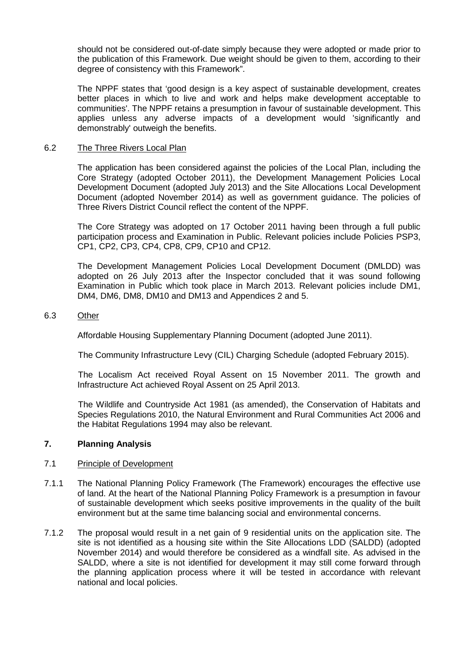should not be considered out-of-date simply because they were adopted or made prior to the publication of this Framework. Due weight should be given to them, according to their degree of consistency with this Framework".

The NPPF states that 'good design is a key aspect of sustainable development, creates better places in which to live and work and helps make development acceptable to communities'. The NPPF retains a presumption in favour of sustainable development. This applies unless any adverse impacts of a development would 'significantly and demonstrably' outweigh the benefits.

### 6.2 The Three Rivers Local Plan

The application has been considered against the policies of the Local Plan, including the Core Strategy (adopted October 2011), the Development Management Policies Local Development Document (adopted July 2013) and the Site Allocations Local Development Document (adopted November 2014) as well as government guidance. The policies of Three Rivers District Council reflect the content of the NPPF.

The Core Strategy was adopted on 17 October 2011 having been through a full public participation process and Examination in Public. Relevant policies include Policies PSP3, CP1, CP2, CP3, CP4, CP8, CP9, CP10 and CP12.

The Development Management Policies Local Development Document (DMLDD) was adopted on 26 July 2013 after the Inspector concluded that it was sound following Examination in Public which took place in March 2013. Relevant policies include DM1, DM4, DM6, DM8, DM10 and DM13 and Appendices 2 and 5.

### 6.3 Other

Affordable Housing Supplementary Planning Document (adopted June 2011).

The Community Infrastructure Levy (CIL) Charging Schedule (adopted February 2015).

The Localism Act received Royal Assent on 15 November 2011. The growth and Infrastructure Act achieved Royal Assent on 25 April 2013.

The Wildlife and Countryside Act 1981 (as amended), the Conservation of Habitats and Species Regulations 2010, the Natural Environment and Rural Communities Act 2006 and the Habitat Regulations 1994 may also be relevant.

# **7. Planning Analysis**

### 7.1 Principle of Development

- 7.1.1 The National Planning Policy Framework (The Framework) encourages the effective use of land. At the heart of the National Planning Policy Framework is a presumption in favour of sustainable development which seeks positive improvements in the quality of the built environment but at the same time balancing social and environmental concerns.
- 7.1.2 The proposal would result in a net gain of 9 residential units on the application site. The site is not identified as a housing site within the Site Allocations LDD (SALDD) (adopted November 2014) and would therefore be considered as a windfall site. As advised in the SALDD, where a site is not identified for development it may still come forward through the planning application process where it will be tested in accordance with relevant national and local policies.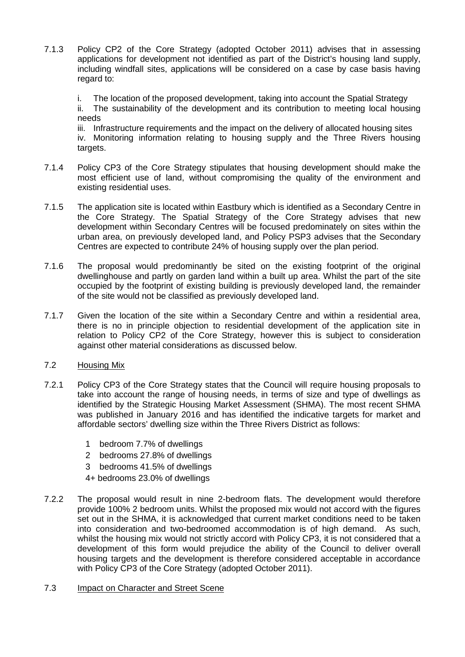7.1.3 Policy CP2 of the Core Strategy (adopted October 2011) advises that in assessing applications for development not identified as part of the District's housing land supply, including windfall sites, applications will be considered on a case by case basis having regard to:

i. The location of the proposed development, taking into account the Spatial Strategy ii. The sustainability of the development and its contribution to meeting local housing needs

iii. Infrastructure requirements and the impact on the delivery of allocated housing sites iv. Monitoring information relating to housing supply and the Three Rivers housing targets.

- 7.1.4 Policy CP3 of the Core Strategy stipulates that housing development should make the most efficient use of land, without compromising the quality of the environment and existing residential uses.
- 7.1.5 The application site is located within Eastbury which is identified as a Secondary Centre in the Core Strategy. The Spatial Strategy of the Core Strategy advises that new development within Secondary Centres will be focused predominately on sites within the urban area, on previously developed land, and Policy PSP3 advises that the Secondary Centres are expected to contribute 24% of housing supply over the plan period.
- 7.1.6 The proposal would predominantly be sited on the existing footprint of the original dwellinghouse and partly on garden land within a built up area. Whilst the part of the site occupied by the footprint of existing building is previously developed land, the remainder of the site would not be classified as previously developed land.
- 7.1.7 Given the location of the site within a Secondary Centre and within a residential area, there is no in principle objection to residential development of the application site in relation to Policy CP2 of the Core Strategy, however this is subject to consideration against other material considerations as discussed below.

# 7.2 Housing Mix

- 7.2.1 Policy CP3 of the Core Strategy states that the Council will require housing proposals to take into account the range of housing needs, in terms of size and type of dwellings as identified by the Strategic Housing Market Assessment (SHMA). The most recent SHMA was published in January 2016 and has identified the indicative targets for market and affordable sectors' dwelling size within the Three Rivers District as follows:
	- 1 bedroom 7.7% of dwellings
	- 2 bedrooms 27.8% of dwellings
	- 3 bedrooms 41.5% of dwellings
	- 4+ bedrooms 23.0% of dwellings
- 7.2.2 The proposal would result in nine 2-bedroom flats. The development would therefore provide 100% 2 bedroom units. Whilst the proposed mix would not accord with the figures set out in the SHMA, it is acknowledged that current market conditions need to be taken into consideration and two-bedroomed accommodation is of high demand. As such, whilst the housing mix would not strictly accord with Policy CP3, it is not considered that a development of this form would prejudice the ability of the Council to deliver overall housing targets and the development is therefore considered acceptable in accordance with Policy CP3 of the Core Strategy (adopted October 2011).
- 7.3 Impact on Character and Street Scene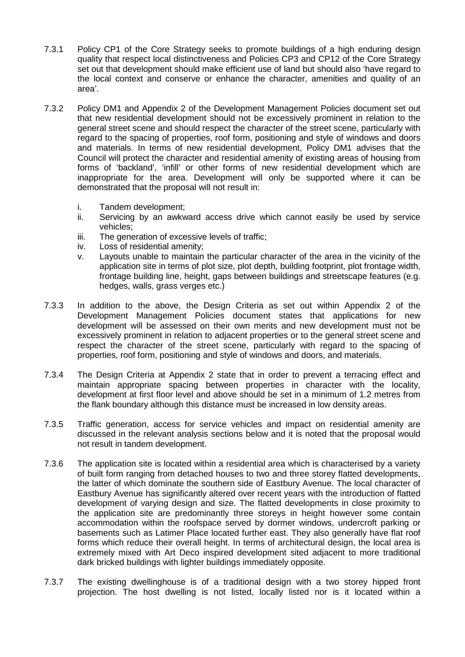- 7.3.1 Policy CP1 of the Core Strategy seeks to promote buildings of a high enduring design quality that respect local distinctiveness and Policies CP3 and CP12 of the Core Strategy set out that development should make efficient use of land but should also 'have regard to the local context and conserve or enhance the character, amenities and quality of an area'.
- 7.3.2 Policy DM1 and Appendix 2 of the Development Management Policies document set out that new residential development should not be excessively prominent in relation to the general street scene and should respect the character of the street scene, particularly with regard to the spacing of properties, roof form, positioning and style of windows and doors and materials. In terms of new residential development, Policy DM1 advises that the Council will protect the character and residential amenity of existing areas of housing from forms of 'backland', 'infill' or other forms of new residential development which are inappropriate for the area. Development will only be supported where it can be demonstrated that the proposal will not result in:
	- i. Tandem development;
	- ii. Servicing by an awkward access drive which cannot easily be used by service vehicles;
	- iii. The generation of excessive levels of traffic;
	- iv. Loss of residential amenity;
	- v. Layouts unable to maintain the particular character of the area in the vicinity of the application site in terms of plot size, plot depth, building footprint, plot frontage width, frontage building line, height, gaps between buildings and streetscape features (e.g. hedges, walls, grass verges etc.)
- 7.3.3 In addition to the above, the Design Criteria as set out within Appendix 2 of the Development Management Policies document states that applications for new development will be assessed on their own merits and new development must not be excessively prominent in relation to adjacent properties or to the general street scene and respect the character of the street scene, particularly with regard to the spacing of properties, roof form, positioning and style of windows and doors, and materials.
- 7.3.4 The Design Criteria at Appendix 2 state that in order to prevent a terracing effect and maintain appropriate spacing between properties in character with the locality, development at first floor level and above should be set in a minimum of 1.2 metres from the flank boundary although this distance must be increased in low density areas.
- 7.3.5 Traffic generation, access for service vehicles and impact on residential amenity are discussed in the relevant analysis sections below and it is noted that the proposal would not result in tandem development.
- 7.3.6 The application site is located within a residential area which is characterised by a variety of built form ranging from detached houses to two and three storey flatted developments, the latter of which dominate the southern side of Eastbury Avenue. The local character of Eastbury Avenue has significantly altered over recent years with the introduction of flatted development of varying design and size. The flatted developments in close proximity to the application site are predominantly three storeys in height however some contain accommodation within the roofspace served by dormer windows, undercroft parking or basements such as Latimer Place located further east. They also generally have flat roof forms which reduce their overall height. In terms of architectural design, the local area is extremely mixed with Art Deco inspired development sited adjacent to more traditional dark bricked buildings with lighter buildings immediately opposite.
- 7.3.7 The existing dwellinghouse is of a traditional design with a two storey hipped front projection. The host dwelling is not listed, locally listed nor is it located within a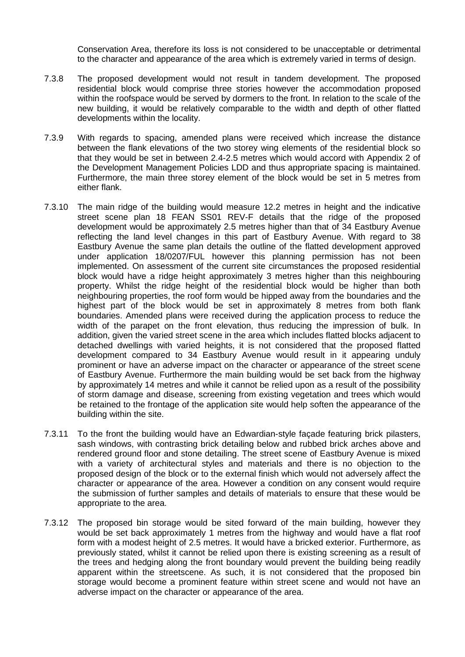Conservation Area, therefore its loss is not considered to be unacceptable or detrimental to the character and appearance of the area which is extremely varied in terms of design.

- 7.3.8 The proposed development would not result in tandem development. The proposed residential block would comprise three stories however the accommodation proposed within the roofspace would be served by dormers to the front. In relation to the scale of the new building, it would be relatively comparable to the width and depth of other flatted developments within the locality.
- 7.3.9 With regards to spacing, amended plans were received which increase the distance between the flank elevations of the two storey wing elements of the residential block so that they would be set in between 2.4-2.5 metres which would accord with Appendix 2 of the Development Management Policies LDD and thus appropriate spacing is maintained. Furthermore, the main three storey element of the block would be set in 5 metres from either flank.
- 7.3.10 The main ridge of the building would measure 12.2 metres in height and the indicative street scene plan 18 FEAN SS01 REV-F details that the ridge of the proposed development would be approximately 2.5 metres higher than that of 34 Eastbury Avenue reflecting the land level changes in this part of Eastbury Avenue. With regard to 38 Eastbury Avenue the same plan details the outline of the flatted development approved under application 18/0207/FUL however this planning permission has not been implemented. On assessment of the current site circumstances the proposed residential block would have a ridge height approximately 3 metres higher than this neighbouring property. Whilst the ridge height of the residential block would be higher than both neighbouring properties, the roof form would be hipped away from the boundaries and the highest part of the block would be set in approximately 8 metres from both flank boundaries. Amended plans were received during the application process to reduce the width of the parapet on the front elevation, thus reducing the impression of bulk. In addition, given the varied street scene in the area which includes flatted blocks adjacent to detached dwellings with varied heights, it is not considered that the proposed flatted development compared to 34 Eastbury Avenue would result in it appearing unduly prominent or have an adverse impact on the character or appearance of the street scene of Eastbury Avenue. Furthermore the main building would be set back from the highway by approximately 14 metres and while it cannot be relied upon as a result of the possibility of storm damage and disease, screening from existing vegetation and trees which would be retained to the frontage of the application site would help soften the appearance of the building within the site.
- 7.3.11 To the front the building would have an Edwardian-style façade featuring brick pilasters, sash windows, with contrasting brick detailing below and rubbed brick arches above and rendered ground floor and stone detailing. The street scene of Eastbury Avenue is mixed with a variety of architectural styles and materials and there is no objection to the proposed design of the block or to the external finish which would not adversely affect the character or appearance of the area. However a condition on any consent would require the submission of further samples and details of materials to ensure that these would be appropriate to the area.
- 7.3.12 The proposed bin storage would be sited forward of the main building, however they would be set back approximately 1 metres from the highway and would have a flat roof form with a modest height of 2.5 metres. It would have a bricked exterior. Furthermore, as previously stated, whilst it cannot be relied upon there is existing screening as a result of the trees and hedging along the front boundary would prevent the building being readily apparent within the streetscene. As such, it is not considered that the proposed bin storage would become a prominent feature within street scene and would not have an adverse impact on the character or appearance of the area.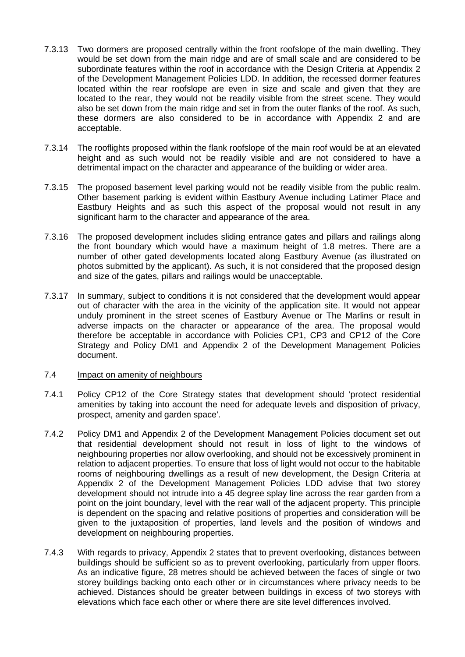- 7.3.13 Two dormers are proposed centrally within the front roofslope of the main dwelling. They would be set down from the main ridge and are of small scale and are considered to be subordinate features within the roof in accordance with the Design Criteria at Appendix 2 of the Development Management Policies LDD. In addition, the recessed dormer features located within the rear roofslope are even in size and scale and given that they are located to the rear, they would not be readily visible from the street scene. They would also be set down from the main ridge and set in from the outer flanks of the roof. As such, these dormers are also considered to be in accordance with Appendix 2 and are acceptable.
- 7.3.14 The rooflights proposed within the flank roofslope of the main roof would be at an elevated height and as such would not be readily visible and are not considered to have a detrimental impact on the character and appearance of the building or wider area.
- 7.3.15 The proposed basement level parking would not be readily visible from the public realm. Other basement parking is evident within Eastbury Avenue including Latimer Place and Eastbury Heights and as such this aspect of the proposal would not result in any significant harm to the character and appearance of the area.
- 7.3.16 The proposed development includes sliding entrance gates and pillars and railings along the front boundary which would have a maximum height of 1.8 metres. There are a number of other gated developments located along Eastbury Avenue (as illustrated on photos submitted by the applicant). As such, it is not considered that the proposed design and size of the gates, pillars and railings would be unacceptable.
- 7.3.17 In summary, subject to conditions it is not considered that the development would appear out of character with the area in the vicinity of the application site. It would not appear unduly prominent in the street scenes of Eastbury Avenue or The Marlins or result in adverse impacts on the character or appearance of the area. The proposal would therefore be acceptable in accordance with Policies CP1, CP3 and CP12 of the Core Strategy and Policy DM1 and Appendix 2 of the Development Management Policies document.

### 7.4 Impact on amenity of neighbours

- 7.4.1 Policy CP12 of the Core Strategy states that development should 'protect residential amenities by taking into account the need for adequate levels and disposition of privacy, prospect, amenity and garden space'.
- 7.4.2 Policy DM1 and Appendix 2 of the Development Management Policies document set out that residential development should not result in loss of light to the windows of neighbouring properties nor allow overlooking, and should not be excessively prominent in relation to adjacent properties. To ensure that loss of light would not occur to the habitable rooms of neighbouring dwellings as a result of new development, the Design Criteria at Appendix 2 of the Development Management Policies LDD advise that two storey development should not intrude into a 45 degree splay line across the rear garden from a point on the joint boundary, level with the rear wall of the adjacent property. This principle is dependent on the spacing and relative positions of properties and consideration will be given to the juxtaposition of properties, land levels and the position of windows and development on neighbouring properties.
- 7.4.3 With regards to privacy, Appendix 2 states that to prevent overlooking, distances between buildings should be sufficient so as to prevent overlooking, particularly from upper floors. As an indicative figure, 28 metres should be achieved between the faces of single or two storey buildings backing onto each other or in circumstances where privacy needs to be achieved. Distances should be greater between buildings in excess of two storeys with elevations which face each other or where there are site level differences involved.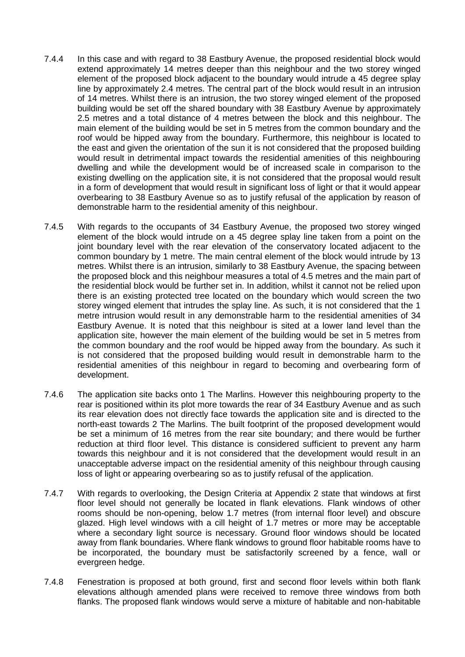- 7.4.4 In this case and with regard to 38 Eastbury Avenue, the proposed residential block would extend approximately 14 metres deeper than this neighbour and the two storey winged element of the proposed block adjacent to the boundary would intrude a 45 degree splay line by approximately 2.4 metres. The central part of the block would result in an intrusion of 14 metres. Whilst there is an intrusion, the two storey winged element of the proposed building would be set off the shared boundary with 38 Eastbury Avenue by approximately 2.5 metres and a total distance of 4 metres between the block and this neighbour. The main element of the building would be set in 5 metres from the common boundary and the roof would be hipped away from the boundary. Furthermore, this neighbour is located to the east and given the orientation of the sun it is not considered that the proposed building would result in detrimental impact towards the residential amenities of this neighbouring dwelling and while the development would be of increased scale in comparison to the existing dwelling on the application site, it is not considered that the proposal would result in a form of development that would result in significant loss of light or that it would appear overbearing to 38 Eastbury Avenue so as to justify refusal of the application by reason of demonstrable harm to the residential amenity of this neighbour.
- 7.4.5 With regards to the occupants of 34 Eastbury Avenue, the proposed two storey winged element of the block would intrude on a 45 degree splay line taken from a point on the joint boundary level with the rear elevation of the conservatory located adjacent to the common boundary by 1 metre. The main central element of the block would intrude by 13 metres. Whilst there is an intrusion, similarly to 38 Eastbury Avenue, the spacing between the proposed block and this neighbour measures a total of 4.5 metres and the main part of the residential block would be further set in. In addition, whilst it cannot not be relied upon there is an existing protected tree located on the boundary which would screen the two storey winged element that intrudes the splay line. As such, it is not considered that the 1 metre intrusion would result in any demonstrable harm to the residential amenities of 34 Eastbury Avenue. It is noted that this neighbour is sited at a lower land level than the application site, however the main element of the building would be set in 5 metres from the common boundary and the roof would be hipped away from the boundary. As such it is not considered that the proposed building would result in demonstrable harm to the residential amenities of this neighbour in regard to becoming and overbearing form of development.
- 7.4.6 The application site backs onto 1 The Marlins. However this neighbouring property to the rear is positioned within its plot more towards the rear of 34 Eastbury Avenue and as such its rear elevation does not directly face towards the application site and is directed to the north-east towards 2 The Marlins. The built footprint of the proposed development would be set a minimum of 16 metres from the rear site boundary; and there would be further reduction at third floor level. This distance is considered sufficient to prevent any harm towards this neighbour and it is not considered that the development would result in an unacceptable adverse impact on the residential amenity of this neighbour through causing loss of light or appearing overbearing so as to justify refusal of the application.
- 7.4.7 With regards to overlooking, the Design Criteria at Appendix 2 state that windows at first floor level should not generally be located in flank elevations. Flank windows of other rooms should be non-opening, below 1.7 metres (from internal floor level) and obscure glazed. High level windows with a cill height of 1.7 metres or more may be acceptable where a secondary light source is necessary. Ground floor windows should be located away from flank boundaries. Where flank windows to ground floor habitable rooms have to be incorporated, the boundary must be satisfactorily screened by a fence, wall or evergreen hedge.
- 7.4.8 Fenestration is proposed at both ground, first and second floor levels within both flank elevations although amended plans were received to remove three windows from both flanks. The proposed flank windows would serve a mixture of habitable and non-habitable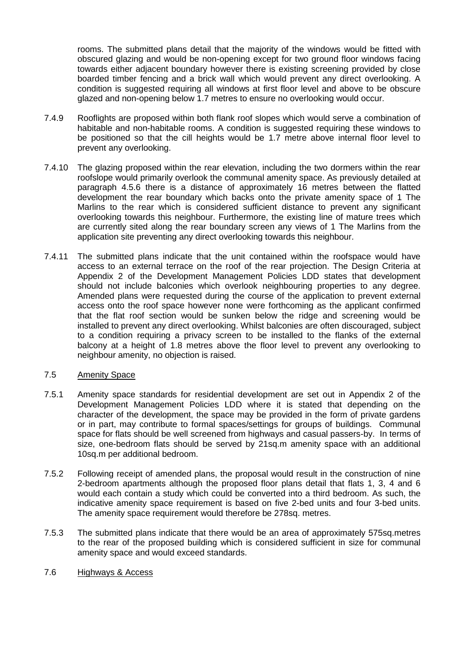rooms. The submitted plans detail that the majority of the windows would be fitted with obscured glazing and would be non-opening except for two ground floor windows facing towards either adjacent boundary however there is existing screening provided by close boarded timber fencing and a brick wall which would prevent any direct overlooking. A condition is suggested requiring all windows at first floor level and above to be obscure glazed and non-opening below 1.7 metres to ensure no overlooking would occur.

- 7.4.9 Rooflights are proposed within both flank roof slopes which would serve a combination of habitable and non-habitable rooms. A condition is suggested requiring these windows to be positioned so that the cill heights would be 1.7 metre above internal floor level to prevent any overlooking.
- 7.4.10 The glazing proposed within the rear elevation, including the two dormers within the rear roofslope would primarily overlook the communal amenity space. As previously detailed at paragraph 4.5.6 there is a distance of approximately 16 metres between the flatted development the rear boundary which backs onto the private amenity space of 1 The Marlins to the rear which is considered sufficient distance to prevent any significant overlooking towards this neighbour. Furthermore, the existing line of mature trees which are currently sited along the rear boundary screen any views of 1 The Marlins from the application site preventing any direct overlooking towards this neighbour.
- 7.4.11 The submitted plans indicate that the unit contained within the roofspace would have access to an external terrace on the roof of the rear projection. The Design Criteria at Appendix 2 of the Development Management Policies LDD states that development should not include balconies which overlook neighbouring properties to any degree. Amended plans were requested during the course of the application to prevent external access onto the roof space however none were forthcoming as the applicant confirmed that the flat roof section would be sunken below the ridge and screening would be installed to prevent any direct overlooking. Whilst balconies are often discouraged, subject to a condition requiring a privacy screen to be installed to the flanks of the external balcony at a height of 1.8 metres above the floor level to prevent any overlooking to neighbour amenity, no objection is raised.

# 7.5 Amenity Space

- 7.5.1 Amenity space standards for residential development are set out in Appendix 2 of the Development Management Policies LDD where it is stated that depending on the character of the development, the space may be provided in the form of private gardens or in part, may contribute to formal spaces/settings for groups of buildings. Communal space for flats should be well screened from highways and casual passers-by. In terms of size, one-bedroom flats should be served by 21sq.m amenity space with an additional 10sq.m per additional bedroom.
- 7.5.2 Following receipt of amended plans, the proposal would result in the construction of nine 2-bedroom apartments although the proposed floor plans detail that flats 1, 3, 4 and 6 would each contain a study which could be converted into a third bedroom. As such, the indicative amenity space requirement is based on five 2-bed units and four 3-bed units. The amenity space requirement would therefore be 278sq. metres.
- 7.5.3 The submitted plans indicate that there would be an area of approximately 575sq.metres to the rear of the proposed building which is considered sufficient in size for communal amenity space and would exceed standards.
- 7.6 Highways & Access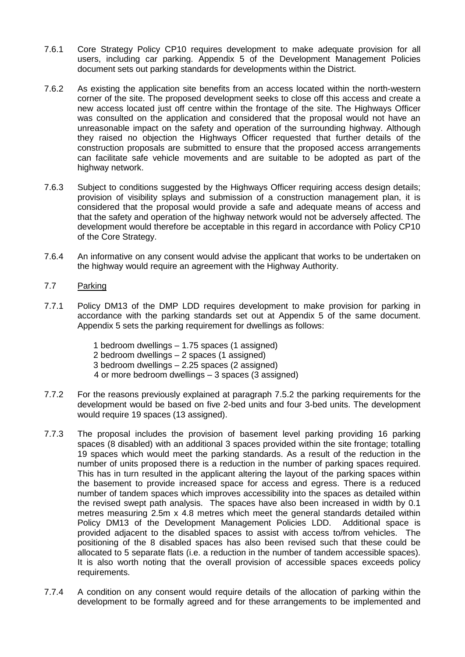- 7.6.1 Core Strategy Policy CP10 requires development to make adequate provision for all users, including car parking. Appendix 5 of the Development Management Policies document sets out parking standards for developments within the District.
- 7.6.2 As existing the application site benefits from an access located within the north-western corner of the site. The proposed development seeks to close off this access and create a new access located just off centre within the frontage of the site. The Highways Officer was consulted on the application and considered that the proposal would not have an unreasonable impact on the safety and operation of the surrounding highway. Although they raised no objection the Highways Officer requested that further details of the construction proposals are submitted to ensure that the proposed access arrangements can facilitate safe vehicle movements and are suitable to be adopted as part of the highway network.
- 7.6.3 Subject to conditions suggested by the Highways Officer requiring access design details; provision of visibility splays and submission of a construction management plan, it is considered that the proposal would provide a safe and adequate means of access and that the safety and operation of the highway network would not be adversely affected. The development would therefore be acceptable in this regard in accordance with Policy CP10 of the Core Strategy.
- 7.6.4 An informative on any consent would advise the applicant that works to be undertaken on the highway would require an agreement with the Highway Authority.

# 7.7 Parking

- 7.7.1 Policy DM13 of the DMP LDD requires development to make provision for parking in accordance with the parking standards set out at Appendix 5 of the same document. Appendix 5 sets the parking requirement for dwellings as follows:
	- 1 bedroom dwellings 1.75 spaces (1 assigned)
	- 2 bedroom dwellings 2 spaces (1 assigned)
	- 3 bedroom dwellings 2.25 spaces (2 assigned)
	- 4 or more bedroom dwellings 3 spaces (3 assigned)
- 7.7.2 For the reasons previously explained at paragraph 7.5.2 the parking requirements for the development would be based on five 2-bed units and four 3-bed units. The development would require 19 spaces (13 assigned).
- 7.7.3 The proposal includes the provision of basement level parking providing 16 parking spaces (8 disabled) with an additional 3 spaces provided within the site frontage; totalling 19 spaces which would meet the parking standards. As a result of the reduction in the number of units proposed there is a reduction in the number of parking spaces required. This has in turn resulted in the applicant altering the layout of the parking spaces within the basement to provide increased space for access and egress. There is a reduced number of tandem spaces which improves accessibility into the spaces as detailed within the revised swept path analysis. The spaces have also been increased in width by 0.1 metres measuring 2.5m x 4.8 metres which meet the general standards detailed within Policy DM13 of the Development Management Policies LDD. Additional space is provided adjacent to the disabled spaces to assist with access to/from vehicles. The positioning of the 8 disabled spaces has also been revised such that these could be allocated to 5 separate flats (i.e. a reduction in the number of tandem accessible spaces). It is also worth noting that the overall provision of accessible spaces exceeds policy requirements.
- 7.7.4 A condition on any consent would require details of the allocation of parking within the development to be formally agreed and for these arrangements to be implemented and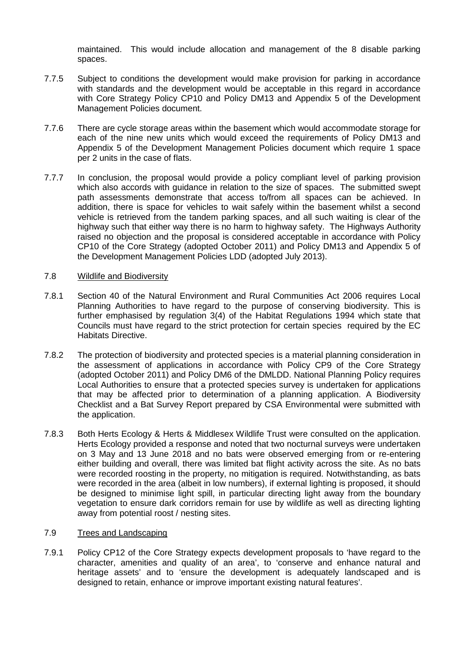maintained. This would include allocation and management of the 8 disable parking spaces.

- 7.7.5 Subject to conditions the development would make provision for parking in accordance with standards and the development would be acceptable in this regard in accordance with Core Strategy Policy CP10 and Policy DM13 and Appendix 5 of the Development Management Policies document.
- 7.7.6 There are cycle storage areas within the basement which would accommodate storage for each of the nine new units which would exceed the requirements of Policy DM13 and Appendix 5 of the Development Management Policies document which require 1 space per 2 units in the case of flats.
- 7.7.7 In conclusion, the proposal would provide a policy compliant level of parking provision which also accords with guidance in relation to the size of spaces. The submitted swept path assessments demonstrate that access to/from all spaces can be achieved. In addition, there is space for vehicles to wait safely within the basement whilst a second vehicle is retrieved from the tandem parking spaces, and all such waiting is clear of the highway such that either way there is no harm to highway safety. The Highways Authority raised no objection and the proposal is considered acceptable in accordance with Policy CP10 of the Core Strategy (adopted October 2011) and Policy DM13 and Appendix 5 of the Development Management Policies LDD (adopted July 2013).

### 7.8 Wildlife and Biodiversity

- 7.8.1 Section 40 of the Natural Environment and Rural Communities Act 2006 requires Local Planning Authorities to have regard to the purpose of conserving biodiversity. This is further emphasised by regulation 3(4) of the Habitat Regulations 1994 which state that Councils must have regard to the strict protection for certain species required by the EC Habitats Directive.
- 7.8.2 The protection of biodiversity and protected species is a material planning consideration in the assessment of applications in accordance with Policy CP9 of the Core Strategy (adopted October 2011) and Policy DM6 of the DMLDD. National Planning Policy requires Local Authorities to ensure that a protected species survey is undertaken for applications that may be affected prior to determination of a planning application. A Biodiversity Checklist and a Bat Survey Report prepared by CSA Environmental were submitted with the application.
- 7.8.3 Both Herts Ecology & Herts & Middlesex Wildlife Trust were consulted on the application. Herts Ecology provided a response and noted that two nocturnal surveys were undertaken on 3 May and 13 June 2018 and no bats were observed emerging from or re-entering either building and overall, there was limited bat flight activity across the site. As no bats were recorded roosting in the property, no mitigation is required. Notwithstanding, as bats were recorded in the area (albeit in low numbers), if external lighting is proposed, it should be designed to minimise light spill, in particular directing light away from the boundary vegetation to ensure dark corridors remain for use by wildlife as well as directing lighting away from potential roost / nesting sites.

### 7.9 Trees and Landscaping

7.9.1 Policy CP12 of the Core Strategy expects development proposals to 'have regard to the character, amenities and quality of an area', to 'conserve and enhance natural and heritage assets' and to 'ensure the development is adequately landscaped and is designed to retain, enhance or improve important existing natural features'.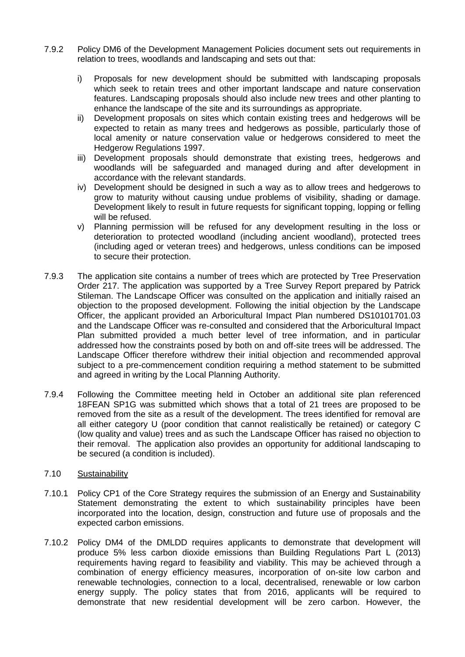- 7.9.2 Policy DM6 of the Development Management Policies document sets out requirements in relation to trees, woodlands and landscaping and sets out that:
	- i) Proposals for new development should be submitted with landscaping proposals which seek to retain trees and other important landscape and nature conservation features. Landscaping proposals should also include new trees and other planting to enhance the landscape of the site and its surroundings as appropriate.
	- ii) Development proposals on sites which contain existing trees and hedgerows will be expected to retain as many trees and hedgerows as possible, particularly those of local amenity or nature conservation value or hedgerows considered to meet the Hedgerow Regulations 1997.
	- iii) Development proposals should demonstrate that existing trees, hedgerows and woodlands will be safeguarded and managed during and after development in accordance with the relevant standards.
	- iv) Development should be designed in such a way as to allow trees and hedgerows to grow to maturity without causing undue problems of visibility, shading or damage. Development likely to result in future requests for significant topping, lopping or felling will be refused.
	- v) Planning permission will be refused for any development resulting in the loss or deterioration to protected woodland (including ancient woodland), protected trees (including aged or veteran trees) and hedgerows, unless conditions can be imposed to secure their protection.
- 7.9.3 The application site contains a number of trees which are protected by Tree Preservation Order 217. The application was supported by a Tree Survey Report prepared by Patrick Stileman. The Landscape Officer was consulted on the application and initially raised an objection to the proposed development. Following the initial objection by the Landscape Officer, the applicant provided an Arboricultural Impact Plan numbered DS10101701.03 and the Landscape Officer was re-consulted and considered that the Arboricultural Impact Plan submitted provided a much better level of tree information, and in particular addressed how the constraints posed by both on and off-site trees will be addressed. The Landscape Officer therefore withdrew their initial objection and recommended approval subject to a pre-commencement condition requiring a method statement to be submitted and agreed in writing by the Local Planning Authority.
- 7.9.4 Following the Committee meeting held in October an additional site plan referenced 18FEAN SP1G was submitted which shows that a total of 21 trees are proposed to be removed from the site as a result of the development. The trees identified for removal are all either category U (poor condition that cannot realistically be retained) or category C (low quality and value) trees and as such the Landscape Officer has raised no objection to their removal. The application also provides an opportunity for additional landscaping to be secured (a condition is included).

# 7.10 Sustainability

- 7.10.1 Policy CP1 of the Core Strategy requires the submission of an Energy and Sustainability Statement demonstrating the extent to which sustainability principles have been incorporated into the location, design, construction and future use of proposals and the expected carbon emissions.
- 7.10.2 Policy DM4 of the DMLDD requires applicants to demonstrate that development will produce 5% less carbon dioxide emissions than Building Regulations Part L (2013) requirements having regard to feasibility and viability. This may be achieved through a combination of energy efficiency measures, incorporation of on-site low carbon and renewable technologies, connection to a local, decentralised, renewable or low carbon energy supply. The policy states that from 2016, applicants will be required to demonstrate that new residential development will be zero carbon. However, the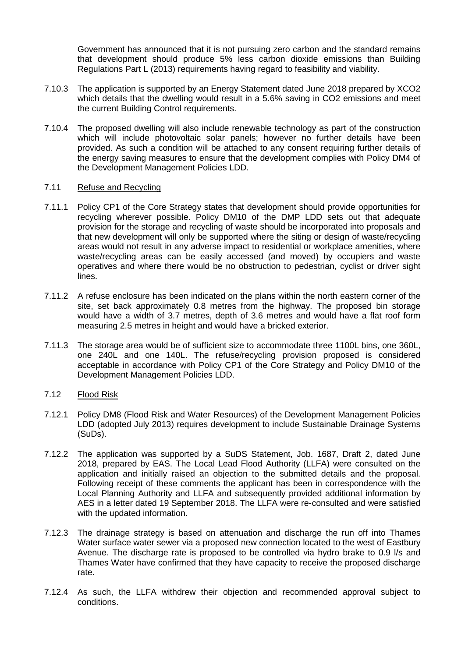Government has announced that it is not pursuing zero carbon and the standard remains that development should produce 5% less carbon dioxide emissions than Building Regulations Part L (2013) requirements having regard to feasibility and viability.

- 7.10.3 The application is supported by an Energy Statement dated June 2018 prepared by XCO2 which details that the dwelling would result in a 5.6% saving in CO2 emissions and meet the current Building Control requirements.
- 7.10.4 The proposed dwelling will also include renewable technology as part of the construction which will include photovoltaic solar panels; however no further details have been provided. As such a condition will be attached to any consent requiring further details of the energy saving measures to ensure that the development complies with Policy DM4 of the Development Management Policies LDD.

### 7.11 Refuse and Recycling

- 7.11.1 Policy CP1 of the Core Strategy states that development should provide opportunities for recycling wherever possible. Policy DM10 of the DMP LDD sets out that adequate provision for the storage and recycling of waste should be incorporated into proposals and that new development will only be supported where the siting or design of waste/recycling areas would not result in any adverse impact to residential or workplace amenities, where waste/recycling areas can be easily accessed (and moved) by occupiers and waste operatives and where there would be no obstruction to pedestrian, cyclist or driver sight lines.
- 7.11.2 A refuse enclosure has been indicated on the plans within the north eastern corner of the site, set back approximately 0.8 metres from the highway. The proposed bin storage would have a width of 3.7 metres, depth of 3.6 metres and would have a flat roof form measuring 2.5 metres in height and would have a bricked exterior.
- 7.11.3 The storage area would be of sufficient size to accommodate three 1100L bins, one 360L, one 240L and one 140L. The refuse/recycling provision proposed is considered acceptable in accordance with Policy CP1 of the Core Strategy and Policy DM10 of the Development Management Policies LDD.

# 7.12 Flood Risk

- 7.12.1 Policy DM8 (Flood Risk and Water Resources) of the Development Management Policies LDD (adopted July 2013) requires development to include Sustainable Drainage Systems (SuDs).
- 7.12.2 The application was supported by a SuDS Statement, Job. 1687, Draft 2, dated June 2018, prepared by EAS. The Local Lead Flood Authority (LLFA) were consulted on the application and initially raised an objection to the submitted details and the proposal. Following receipt of these comments the applicant has been in correspondence with the Local Planning Authority and LLFA and subsequently provided additional information by AES in a letter dated 19 September 2018. The LLFA were re-consulted and were satisfied with the updated information.
- 7.12.3 The drainage strategy is based on attenuation and discharge the run off into Thames Water surface water sewer via a proposed new connection located to the west of Eastbury Avenue. The discharge rate is proposed to be controlled via hydro brake to 0.9 l/s and Thames Water have confirmed that they have capacity to receive the proposed discharge rate.
- 7.12.4 As such, the LLFA withdrew their objection and recommended approval subject to conditions.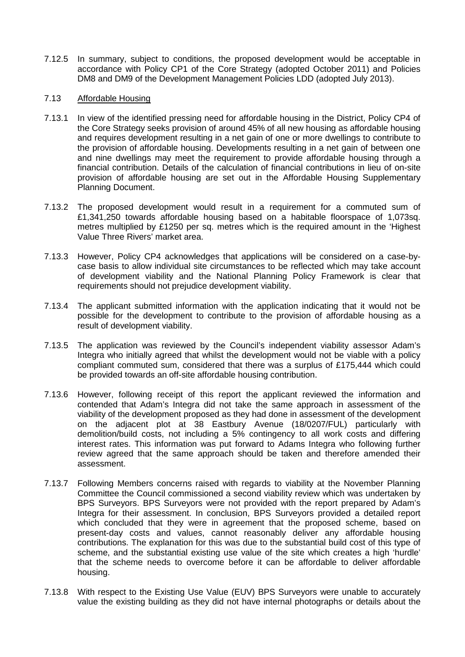7.12.5 In summary, subject to conditions, the proposed development would be acceptable in accordance with Policy CP1 of the Core Strategy (adopted October 2011) and Policies DM8 and DM9 of the Development Management Policies LDD (adopted July 2013).

### 7.13 Affordable Housing

- 7.13.1 In view of the identified pressing need for affordable housing in the District, Policy CP4 of the Core Strategy seeks provision of around 45% of all new housing as affordable housing and requires development resulting in a net gain of one or more dwellings to contribute to the provision of affordable housing. Developments resulting in a net gain of between one and nine dwellings may meet the requirement to provide affordable housing through a financial contribution. Details of the calculation of financial contributions in lieu of on-site provision of affordable housing are set out in the Affordable Housing Supplementary Planning Document.
- 7.13.2 The proposed development would result in a requirement for a commuted sum of £1,341,250 towards affordable housing based on a habitable floorspace of 1,073sq. metres multiplied by £1250 per sq. metres which is the required amount in the 'Highest Value Three Rivers' market area.
- 7.13.3 However, Policy CP4 acknowledges that applications will be considered on a case-bycase basis to allow individual site circumstances to be reflected which may take account of development viability and the National Planning Policy Framework is clear that requirements should not prejudice development viability.
- 7.13.4 The applicant submitted information with the application indicating that it would not be possible for the development to contribute to the provision of affordable housing as a result of development viability.
- 7.13.5 The application was reviewed by the Council's independent viability assessor Adam's Integra who initially agreed that whilst the development would not be viable with a policy compliant commuted sum, considered that there was a surplus of £175,444 which could be provided towards an off-site affordable housing contribution.
- 7.13.6 However, following receipt of this report the applicant reviewed the information and contended that Adam's Integra did not take the same approach in assessment of the viability of the development proposed as they had done in assessment of the development on the adjacent plot at 38 Eastbury Avenue (18/0207/FUL) particularly with demolition/build costs, not including a 5% contingency to all work costs and differing interest rates. This information was put forward to Adams Integra who following further review agreed that the same approach should be taken and therefore amended their assessment.
- 7.13.7 Following Members concerns raised with regards to viability at the November Planning Committee the Council commissioned a second viability review which was undertaken by BPS Surveyors. BPS Surveyors were not provided with the report prepared by Adam's Integra for their assessment. In conclusion, BPS Surveyors provided a detailed report which concluded that they were in agreement that the proposed scheme, based on present-day costs and values, cannot reasonably deliver any affordable housing contributions. The explanation for this was due to the substantial build cost of this type of scheme, and the substantial existing use value of the site which creates a high 'hurdle' that the scheme needs to overcome before it can be affordable to deliver affordable housing.
- 7.13.8 With respect to the Existing Use Value (EUV) BPS Surveyors were unable to accurately value the existing building as they did not have internal photographs or details about the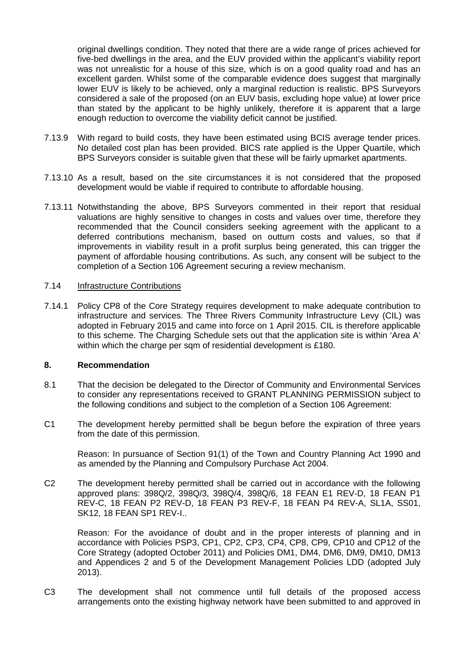original dwellings condition. They noted that there are a wide range of prices achieved for five-bed dwellings in the area, and the EUV provided within the applicant's viability report was not unrealistic for a house of this size, which is on a good quality road and has an excellent garden. Whilst some of the comparable evidence does suggest that marginally lower EUV is likely to be achieved, only a marginal reduction is realistic. BPS Surveyors considered a sale of the proposed (on an EUV basis, excluding hope value) at lower price than stated by the applicant to be highly unlikely, therefore it is apparent that a large enough reduction to overcome the viability deficit cannot be justified.

- 7.13.9 With regard to build costs, they have been estimated using BCIS average tender prices. No detailed cost plan has been provided. BICS rate applied is the Upper Quartile, which BPS Surveyors consider is suitable given that these will be fairly upmarket apartments.
- 7.13.10 As a result, based on the site circumstances it is not considered that the proposed development would be viable if required to contribute to affordable housing.
- 7.13.11 Notwithstanding the above, BPS Surveyors commented in their report that residual valuations are highly sensitive to changes in costs and values over time, therefore they recommended that the Council considers seeking agreement with the applicant to a deferred contributions mechanism, based on outturn costs and values, so that if improvements in viability result in a profit surplus being generated, this can trigger the payment of affordable housing contributions. As such, any consent will be subject to the completion of a Section 106 Agreement securing a review mechanism.

### 7.14 Infrastructure Contributions

7.14.1 Policy CP8 of the Core Strategy requires development to make adequate contribution to infrastructure and services. The Three Rivers Community Infrastructure Levy (CIL) was adopted in February 2015 and came into force on 1 April 2015. CIL is therefore applicable to this scheme. The Charging Schedule sets out that the application site is within 'Area A' within which the charge per sqm of residential development is £180.

### **8. Recommendation**

- 8.1 That the decision be delegated to the Director of Community and Environmental Services to consider any representations received to GRANT PLANNING PERMISSION subject to the following conditions and subject to the completion of a Section 106 Agreement:
- C1 The development hereby permitted shall be begun before the expiration of three years from the date of this permission.

Reason: In pursuance of Section 91(1) of the Town and Country Planning Act 1990 and as amended by the Planning and Compulsory Purchase Act 2004.

C2 The development hereby permitted shall be carried out in accordance with the following approved plans: 398Q/2, 398Q/3, 398Q/4, 398Q/6, 18 FEAN E1 REV-D, 18 FEAN P1 REV-C, 18 FEAN P2 REV-D, 18 FEAN P3 REV-F, 18 FEAN P4 REV-A, SL1A, SS01, SK12, 18 FEAN SP1 REV-I..

Reason: For the avoidance of doubt and in the proper interests of planning and in accordance with Policies PSP3, CP1, CP2, CP3, CP4, CP8, CP9, CP10 and CP12 of the Core Strategy (adopted October 2011) and Policies DM1, DM4, DM6, DM9, DM10, DM13 and Appendices 2 and 5 of the Development Management Policies LDD (adopted July 2013).

C3 The development shall not commence until full details of the proposed access arrangements onto the existing highway network have been submitted to and approved in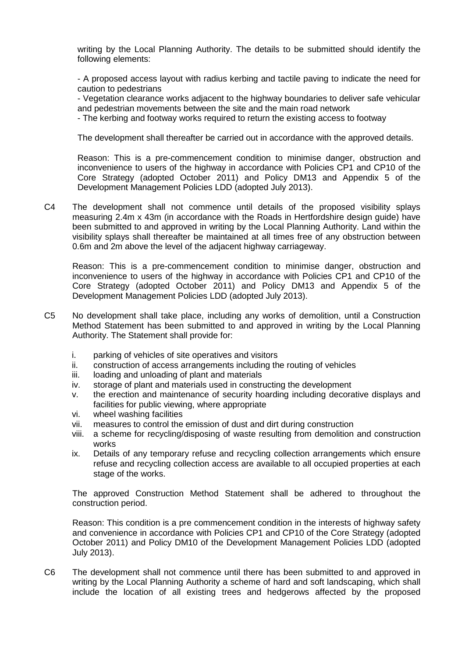writing by the Local Planning Authority. The details to be submitted should identify the following elements:

- A proposed access layout with radius kerbing and tactile paving to indicate the need for caution to pedestrians

- Vegetation clearance works adjacent to the highway boundaries to deliver safe vehicular and pedestrian movements between the site and the main road network

- The kerbing and footway works required to return the existing access to footway

The development shall thereafter be carried out in accordance with the approved details.

Reason: This is a pre-commencement condition to minimise danger, obstruction and inconvenience to users of the highway in accordance with Policies CP1 and CP10 of the Core Strategy (adopted October 2011) and Policy DM13 and Appendix 5 of the Development Management Policies LDD (adopted July 2013).

C4 The development shall not commence until details of the proposed visibility splays measuring 2.4m x 43m (in accordance with the Roads in Hertfordshire design guide) have been submitted to and approved in writing by the Local Planning Authority. Land within the visibility splays shall thereafter be maintained at all times free of any obstruction between 0.6m and 2m above the level of the adjacent highway carriageway.

Reason: This is a pre-commencement condition to minimise danger, obstruction and inconvenience to users of the highway in accordance with Policies CP1 and CP10 of the Core Strategy (adopted October 2011) and Policy DM13 and Appendix 5 of the Development Management Policies LDD (adopted July 2013).

- C5 No development shall take place, including any works of demolition, until a Construction Method Statement has been submitted to and approved in writing by the Local Planning Authority. The Statement shall provide for:
	- i. parking of vehicles of site operatives and visitors
	- ii. construction of access arrangements including the routing of vehicles
	- iii. loading and unloading of plant and materials
	- iv. storage of plant and materials used in constructing the development
	- v. the erection and maintenance of security hoarding including decorative displays and facilities for public viewing, where appropriate
	- vi. wheel washing facilities
	- vii. measures to control the emission of dust and dirt during construction
	- viii. a scheme for recycling/disposing of waste resulting from demolition and construction works
	- ix. Details of any temporary refuse and recycling collection arrangements which ensure refuse and recycling collection access are available to all occupied properties at each stage of the works.

The approved Construction Method Statement shall be adhered to throughout the construction period.

Reason: This condition is a pre commencement condition in the interests of highway safety and convenience in accordance with Policies CP1 and CP10 of the Core Strategy (adopted October 2011) and Policy DM10 of the Development Management Policies LDD (adopted July 2013).

C6 The development shall not commence until there has been submitted to and approved in writing by the Local Planning Authority a scheme of hard and soft landscaping, which shall include the location of all existing trees and hedgerows affected by the proposed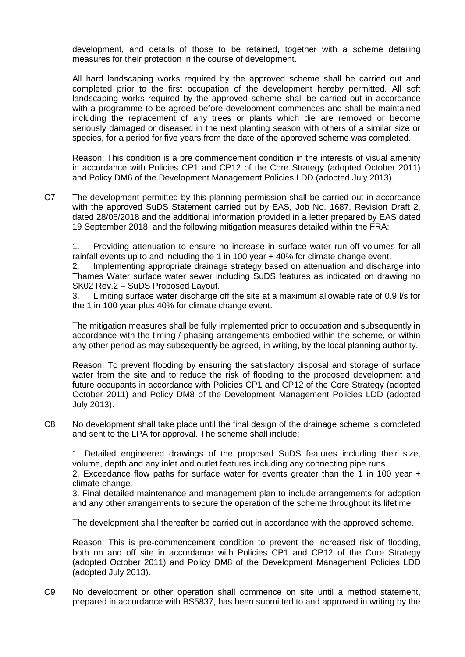development, and details of those to be retained, together with a scheme detailing measures for their protection in the course of development.

All hard landscaping works required by the approved scheme shall be carried out and completed prior to the first occupation of the development hereby permitted. All soft landscaping works required by the approved scheme shall be carried out in accordance with a programme to be agreed before development commences and shall be maintained including the replacement of any trees or plants which die are removed or become seriously damaged or diseased in the next planting season with others of a similar size or species, for a period for five years from the date of the approved scheme was completed.

Reason: This condition is a pre commencement condition in the interests of visual amenity in accordance with Policies CP1 and CP12 of the Core Strategy (adopted October 2011) and Policy DM6 of the Development Management Policies LDD (adopted July 2013).

C7 The development permitted by this planning permission shall be carried out in accordance with the approved SuDS Statement carried out by EAS, Job No. 1687, Revision Draft 2, dated 28/06/2018 and the additional information provided in a letter prepared by EAS dated 19 September 2018, and the following mitigation measures detailed within the FRA:

1. Providing attenuation to ensure no increase in surface water run-off volumes for all rainfall events up to and including the 1 in 100 year + 40% for climate change event.

2. Implementing appropriate drainage strategy based on attenuation and discharge into Thames Water surface water sewer including SuDS features as indicated on drawing no SK02 Rev.2 – SuDS Proposed Layout.

3. Limiting surface water discharge off the site at a maximum allowable rate of 0.9 l/s for the 1 in 100 year plus 40% for climate change event.

The mitigation measures shall be fully implemented prior to occupation and subsequently in accordance with the timing / phasing arrangements embodied within the scheme, or within any other period as may subsequently be agreed, in writing, by the local planning authority.

Reason: To prevent flooding by ensuring the satisfactory disposal and storage of surface water from the site and to reduce the risk of flooding to the proposed development and future occupants in accordance with Policies CP1 and CP12 of the Core Strategy (adopted October 2011) and Policy DM8 of the Development Management Policies LDD (adopted July 2013).

C8 No development shall take place until the final design of the drainage scheme is completed and sent to the LPA for approval. The scheme shall include;

1. Detailed engineered drawings of the proposed SuDS features including their size, volume, depth and any inlet and outlet features including any connecting pipe runs.

2. Exceedance flow paths for surface water for events greater than the 1 in 100 year + climate change.

3. Final detailed maintenance and management plan to include arrangements for adoption and any other arrangements to secure the operation of the scheme throughout its lifetime.

The development shall thereafter be carried out in accordance with the approved scheme.

Reason: This is pre-commencement condition to prevent the increased risk of flooding, both on and off site in accordance with Policies CP1 and CP12 of the Core Strategy (adopted October 2011) and Policy DM8 of the Development Management Policies LDD (adopted July 2013).

C9 No development or other operation shall commence on site until a method statement, prepared in accordance with BS5837, has been submitted to and approved in writing by the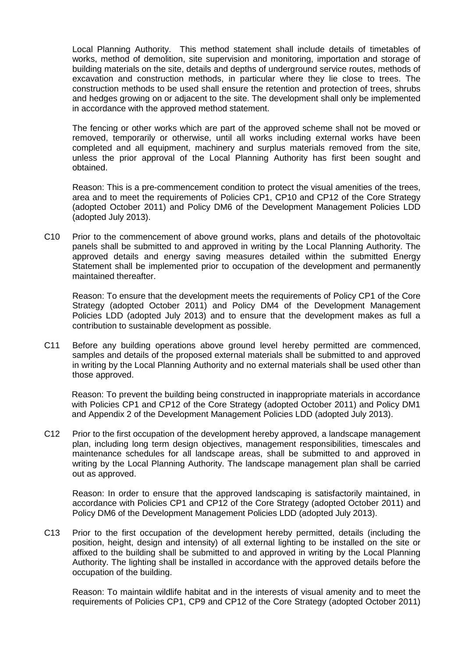Local Planning Authority. This method statement shall include details of timetables of works, method of demolition, site supervision and monitoring, importation and storage of building materials on the site, details and depths of underground service routes, methods of excavation and construction methods, in particular where they lie close to trees. The construction methods to be used shall ensure the retention and protection of trees, shrubs and hedges growing on or adjacent to the site. The development shall only be implemented in accordance with the approved method statement.

The fencing or other works which are part of the approved scheme shall not be moved or removed, temporarily or otherwise, until all works including external works have been completed and all equipment, machinery and surplus materials removed from the site, unless the prior approval of the Local Planning Authority has first been sought and obtained.

Reason: This is a pre-commencement condition to protect the visual amenities of the trees, area and to meet the requirements of Policies CP1, CP10 and CP12 of the Core Strategy (adopted October 2011) and Policy DM6 of the Development Management Policies LDD (adopted July 2013).

C10 Prior to the commencement of above ground works, plans and details of the photovoltaic panels shall be submitted to and approved in writing by the Local Planning Authority. The approved details and energy saving measures detailed within the submitted Energy Statement shall be implemented prior to occupation of the development and permanently maintained thereafter.

Reason: To ensure that the development meets the requirements of Policy CP1 of the Core Strategy (adopted October 2011) and Policy DM4 of the Development Management Policies LDD (adopted July 2013) and to ensure that the development makes as full a contribution to sustainable development as possible.

C11 Before any building operations above ground level hereby permitted are commenced, samples and details of the proposed external materials shall be submitted to and approved in writing by the Local Planning Authority and no external materials shall be used other than those approved.

Reason: To prevent the building being constructed in inappropriate materials in accordance with Policies CP1 and CP12 of the Core Strategy (adopted October 2011) and Policy DM1 and Appendix 2 of the Development Management Policies LDD (adopted July 2013).

C12 Prior to the first occupation of the development hereby approved, a landscape management plan, including long term design objectives, management responsibilities, timescales and maintenance schedules for all landscape areas, shall be submitted to and approved in writing by the Local Planning Authority. The landscape management plan shall be carried out as approved.

Reason: In order to ensure that the approved landscaping is satisfactorily maintained, in accordance with Policies CP1 and CP12 of the Core Strategy (adopted October 2011) and Policy DM6 of the Development Management Policies LDD (adopted July 2013).

C13 Prior to the first occupation of the development hereby permitted, details (including the position, height, design and intensity) of all external lighting to be installed on the site or affixed to the building shall be submitted to and approved in writing by the Local Planning Authority. The lighting shall be installed in accordance with the approved details before the occupation of the building.

Reason: To maintain wildlife habitat and in the interests of visual amenity and to meet the requirements of Policies CP1, CP9 and CP12 of the Core Strategy (adopted October 2011)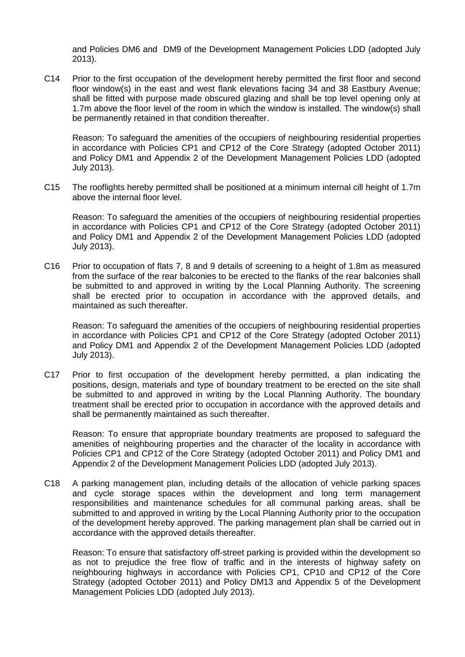and Policies DM6 and DM9 of the Development Management Policies LDD (adopted July 2013).

C14 Prior to the first occupation of the development hereby permitted the first floor and second floor window(s) in the east and west flank elevations facing 34 and 38 Eastbury Avenue; shall be fitted with purpose made obscured glazing and shall be top level opening only at 1.7m above the floor level of the room in which the window is installed. The window(s) shall be permanently retained in that condition thereafter.

Reason: To safeguard the amenities of the occupiers of neighbouring residential properties in accordance with Policies CP1 and CP12 of the Core Strategy (adopted October 2011) and Policy DM1 and Appendix 2 of the Development Management Policies LDD (adopted July 2013).

C15 The rooflights hereby permitted shall be positioned at a minimum internal cill height of 1.7m above the internal floor level.

Reason: To safeguard the amenities of the occupiers of neighbouring residential properties in accordance with Policies CP1 and CP12 of the Core Strategy (adopted October 2011) and Policy DM1 and Appendix 2 of the Development Management Policies LDD (adopted July 2013).

C16 Prior to occupation of flats 7, 8 and 9 details of screening to a height of 1.8m as measured from the surface of the rear balconies to be erected to the flanks of the rear balconies shall be submitted to and approved in writing by the Local Planning Authority. The screening shall be erected prior to occupation in accordance with the approved details, and maintained as such thereafter.

Reason: To safeguard the amenities of the occupiers of neighbouring residential properties in accordance with Policies CP1 and CP12 of the Core Strategy (adopted October 2011) and Policy DM1 and Appendix 2 of the Development Management Policies LDD (adopted July 2013).

C17 Prior to first occupation of the development hereby permitted, a plan indicating the positions, design, materials and type of boundary treatment to be erected on the site shall be submitted to and approved in writing by the Local Planning Authority. The boundary treatment shall be erected prior to occupation in accordance with the approved details and shall be permanently maintained as such thereafter.

Reason: To ensure that appropriate boundary treatments are proposed to safeguard the amenities of neighbouring properties and the character of the locality in accordance with Policies CP1 and CP12 of the Core Strategy (adopted October 2011) and Policy DM1 and Appendix 2 of the Development Management Policies LDD (adopted July 2013).

C18 A parking management plan, including details of the allocation of vehicle parking spaces and cycle storage spaces within the development and long term management responsibilities and maintenance schedules for all communal parking areas, shall be submitted to and approved in writing by the Local Planning Authority prior to the occupation of the development hereby approved. The parking management plan shall be carried out in accordance with the approved details thereafter.

Reason: To ensure that satisfactory off-street parking is provided within the development so as not to prejudice the free flow of traffic and in the interests of highway safety on neighbouring highways in accordance with Policies CP1, CP10 and CP12 of the Core Strategy (adopted October 2011) and Policy DM13 and Appendix 5 of the Development Management Policies LDD (adopted July 2013).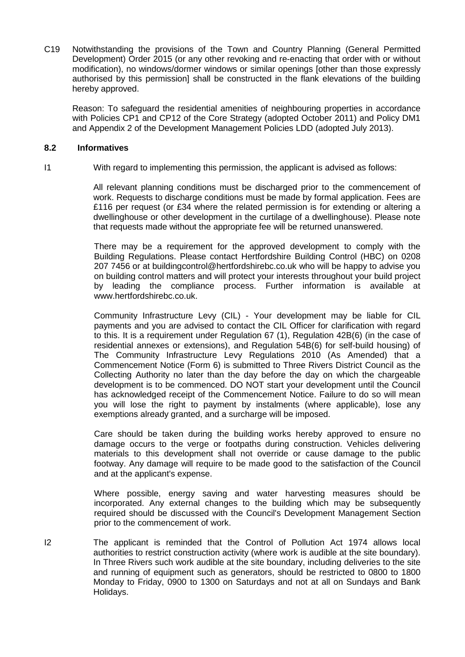C19 Notwithstanding the provisions of the Town and Country Planning (General Permitted Development) Order 2015 (or any other revoking and re-enacting that order with or without modification), no windows/dormer windows or similar openings [other than those expressly authorised by this permission] shall be constructed in the flank elevations of the building hereby approved.

Reason: To safeguard the residential amenities of neighbouring properties in accordance with Policies CP1 and CP12 of the Core Strategy (adopted October 2011) and Policy DM1 and Appendix 2 of the Development Management Policies LDD (adopted July 2013).

### **8.2 Informatives**

I1 With regard to implementing this permission, the applicant is advised as follows:

All relevant planning conditions must be discharged prior to the commencement of work. Requests to discharge conditions must be made by formal application. Fees are £116 per request (or £34 where the related permission is for extending or altering a dwellinghouse or other development in the curtilage of a dwellinghouse). Please note that requests made without the appropriate fee will be returned unanswered.

There may be a requirement for the approved development to comply with the Building Regulations. Please contact Hertfordshire Building Control (HBC) on 0208 207 7456 or at buildingcontrol@hertfordshirebc.co.uk who will be happy to advise you on building control matters and will protect your interests throughout your build project by leading the compliance process. Further information is available at www.hertfordshirebc.co.uk.

Community Infrastructure Levy (CIL) - Your development may be liable for CIL payments and you are advised to contact the CIL Officer for clarification with regard to this. It is a requirement under Regulation 67 (1), Regulation 42B(6) (in the case of residential annexes or extensions), and Regulation 54B(6) for self-build housing) of The Community Infrastructure Levy Regulations 2010 (As Amended) that a Commencement Notice (Form 6) is submitted to Three Rivers District Council as the Collecting Authority no later than the day before the day on which the chargeable development is to be commenced. DO NOT start your development until the Council has acknowledged receipt of the Commencement Notice. Failure to do so will mean you will lose the right to payment by instalments (where applicable), lose any exemptions already granted, and a surcharge will be imposed.

Care should be taken during the building works hereby approved to ensure no damage occurs to the verge or footpaths during construction. Vehicles delivering materials to this development shall not override or cause damage to the public footway. Any damage will require to be made good to the satisfaction of the Council and at the applicant's expense.

Where possible, energy saving and water harvesting measures should be incorporated. Any external changes to the building which may be subsequently required should be discussed with the Council's Development Management Section prior to the commencement of work.

I2 The applicant is reminded that the Control of Pollution Act 1974 allows local authorities to restrict construction activity (where work is audible at the site boundary). In Three Rivers such work audible at the site boundary, including deliveries to the site and running of equipment such as generators, should be restricted to 0800 to 1800 Monday to Friday, 0900 to 1300 on Saturdays and not at all on Sundays and Bank Holidays.